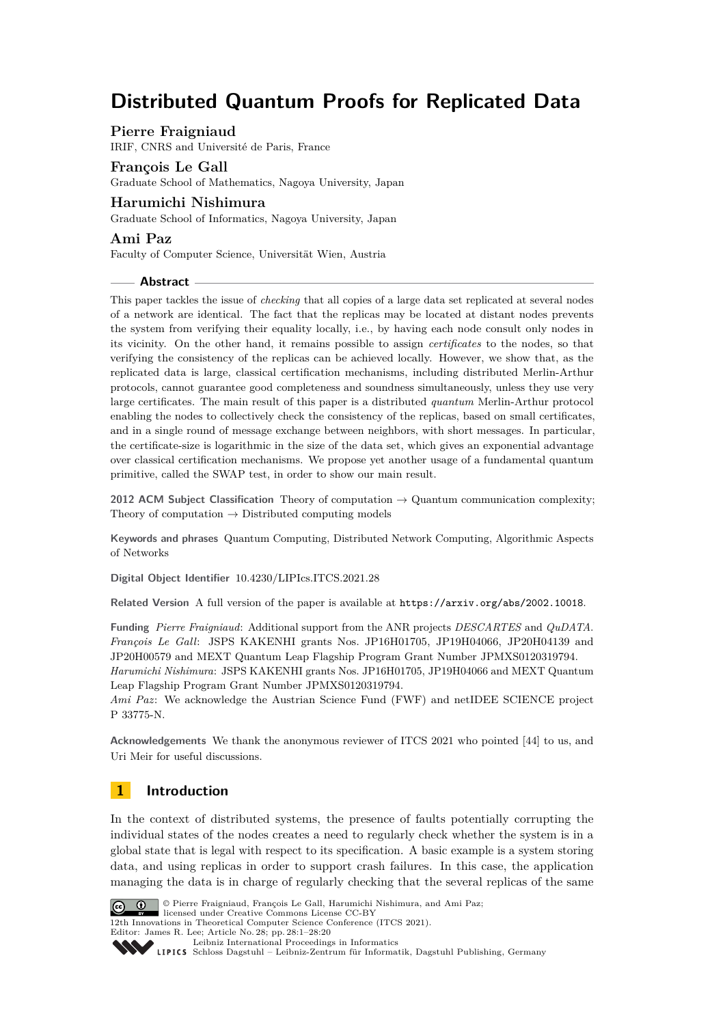# **Distributed Quantum Proofs for Replicated Data**

# **Pierre Fraigniaud**

IRIF, CNRS and Université de Paris, France

### **François Le Gall**

Graduate School of Mathematics, Nagoya University, Japan

# **Harumichi Nishimura**

Graduate School of Informatics, Nagoya University, Japan

# **Ami Paz**

Faculty of Computer Science, Universität Wien, Austria

### **Abstract**

This paper tackles the issue of *checking* that all copies of a large data set replicated at several nodes of a network are identical. The fact that the replicas may be located at distant nodes prevents the system from verifying their equality locally, i.e., by having each node consult only nodes in its vicinity. On the other hand, it remains possible to assign *certificates* to the nodes, so that verifying the consistency of the replicas can be achieved locally. However, we show that, as the replicated data is large, classical certification mechanisms, including distributed Merlin-Arthur protocols, cannot guarantee good completeness and soundness simultaneously, unless they use very large certificates. The main result of this paper is a distributed *quantum* Merlin-Arthur protocol enabling the nodes to collectively check the consistency of the replicas, based on small certificates, and in a single round of message exchange between neighbors, with short messages. In particular, the certificate-size is logarithmic in the size of the data set, which gives an exponential advantage over classical certification mechanisms. We propose yet another usage of a fundamental quantum primitive, called the SWAP test, in order to show our main result.

**2012 ACM Subject Classification** Theory of computation → Quantum communication complexity; Theory of computation  $\rightarrow$  Distributed computing models

**Keywords and phrases** Quantum Computing, Distributed Network Computing, Algorithmic Aspects of Networks

**Digital Object Identifier** [10.4230/LIPIcs.ITCS.2021.28](https://doi.org/10.4230/LIPIcs.ITCS.2021.28)

**Related Version** A full version of the paper is available at <https://arxiv.org/abs/2002.10018>.

**Funding** *Pierre Fraigniaud*: Additional support from the ANR projects *DESCARTES* and *QuDATA*. *François Le Gall*: JSPS KAKENHI grants Nos. JP16H01705, JP19H04066, JP20H04139 and JP20H00579 and MEXT Quantum Leap Flagship Program Grant Number JPMXS0120319794.

*Harumichi Nishimura*: JSPS KAKENHI grants Nos. JP16H01705, JP19H04066 and MEXT Quantum Leap Flagship Program Grant Number JPMXS0120319794.

*Ami Paz*: We acknowledge the Austrian Science Fund (FWF) and netIDEE SCIENCE project P 33775-N.

**Acknowledgements** We thank the anonymous reviewer of ITCS 2021 who pointed [\[44\]](#page-19-0) to us, and Uri Meir for useful discussions.

# **1 Introduction**

In the context of distributed systems, the presence of faults potentially corrupting the individual states of the nodes creates a need to regularly check whether the system is in a global state that is legal with respect to its specification. A basic example is a system storing data, and using replicas in order to support crash failures. In this case, the application managing the data is in charge of regularly checking that the several replicas of the same



© Pierre Fraigniaud, François Le Gall, Harumichi Nishimura, and Ami Paz; licensed under Creative Commons License CC-BY

12th Innovations in Theoretical Computer Science Conference (ITCS 2021). Editor: James R. Lee; Article No. 28; pp. 28:1–28[:20](#page-19-1)

[Leibniz International Proceedings in Informatics](https://www.dagstuhl.de/lipics/)

[Schloss Dagstuhl – Leibniz-Zentrum für Informatik, Dagstuhl Publishing, Germany](https://www.dagstuhl.de)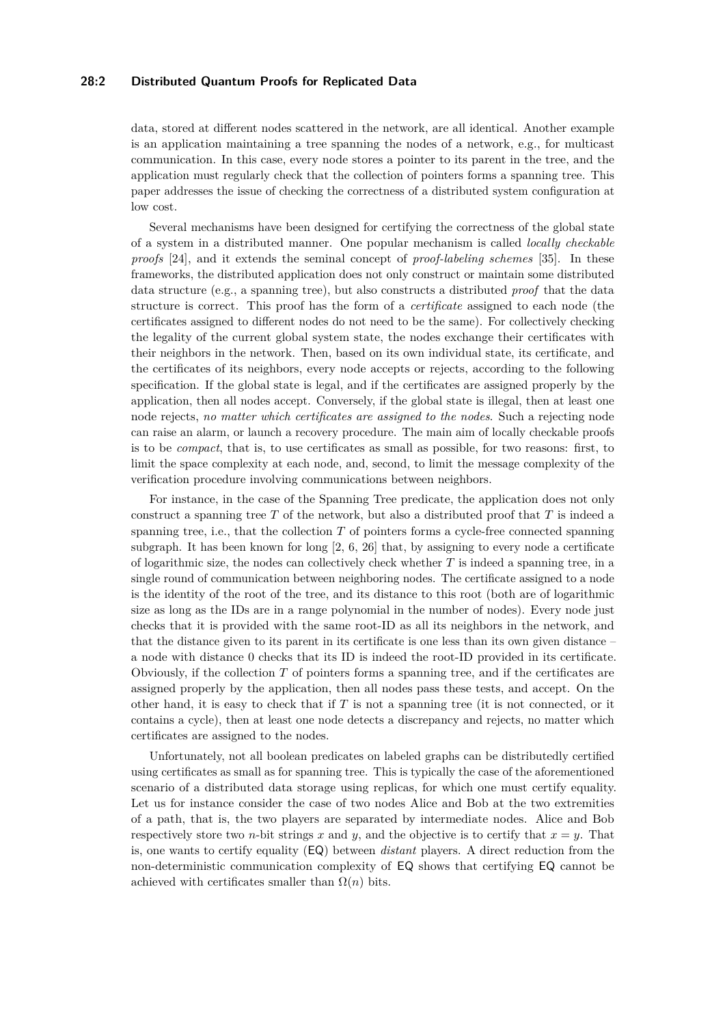# **28:2 Distributed Quantum Proofs for Replicated Data**

data, stored at different nodes scattered in the network, are all identical. Another example is an application maintaining a tree spanning the nodes of a network, e.g., for multicast communication. In this case, every node stores a pointer to its parent in the tree, and the application must regularly check that the collection of pointers forms a spanning tree. This paper addresses the issue of checking the correctness of a distributed system configuration at low cost.

Several mechanisms have been designed for certifying the correctness of the global state of a system in a distributed manner. One popular mechanism is called *locally checkable proofs* [\[24\]](#page-18-0), and it extends the seminal concept of *proof-labeling schemes* [\[35\]](#page-18-1). In these frameworks, the distributed application does not only construct or maintain some distributed data structure (e.g., a spanning tree), but also constructs a distributed *proof* that the data structure is correct. This proof has the form of a *certificate* assigned to each node (the certificates assigned to different nodes do not need to be the same). For collectively checking the legality of the current global system state, the nodes exchange their certificates with their neighbors in the network. Then, based on its own individual state, its certificate, and the certificates of its neighbors, every node accepts or rejects, according to the following specification. If the global state is legal, and if the certificates are assigned properly by the application, then all nodes accept. Conversely, if the global state is illegal, then at least one node rejects, *no matter which certificates are assigned to the nodes*. Such a rejecting node can raise an alarm, or launch a recovery procedure. The main aim of locally checkable proofs is to be *compact*, that is, to use certificates as small as possible, for two reasons: first, to limit the space complexity at each node, and, second, to limit the message complexity of the verification procedure involving communications between neighbors.

For instance, in the case of the Spanning Tree predicate, the application does not only construct a spanning tree *T* of the network, but also a distributed proof that *T* is indeed a spanning tree, i.e., that the collection *T* of pointers forms a cycle-free connected spanning subgraph. It has been known for long [\[2,](#page-16-0) [6,](#page-17-0) [26\]](#page-18-2) that, by assigning to every node a certificate of logarithmic size, the nodes can collectively check whether *T* is indeed a spanning tree, in a single round of communication between neighboring nodes. The certificate assigned to a node is the identity of the root of the tree, and its distance to this root (both are of logarithmic size as long as the IDs are in a range polynomial in the number of nodes). Every node just checks that it is provided with the same root-ID as all its neighbors in the network, and that the distance given to its parent in its certificate is one less than its own given distance – a node with distance 0 checks that its ID is indeed the root-ID provided in its certificate. Obviously, if the collection *T* of pointers forms a spanning tree, and if the certificates are assigned properly by the application, then all nodes pass these tests, and accept. On the other hand, it is easy to check that if *T* is not a spanning tree (it is not connected, or it contains a cycle), then at least one node detects a discrepancy and rejects, no matter which certificates are assigned to the nodes.

Unfortunately, not all boolean predicates on labeled graphs can be distributedly certified using certificates as small as for spanning tree. This is typically the case of the aforementioned scenario of a distributed data storage using replicas, for which one must certify equality. Let us for instance consider the case of two nodes Alice and Bob at the two extremities of a path, that is, the two players are separated by intermediate nodes. Alice and Bob respectively store two *n*-bit strings *x* and *y*, and the objective is to certify that  $x = y$ . That is, one wants to certify equality (EQ) between *distant* players. A direct reduction from the non-deterministic communication complexity of EQ shows that certifying EQ cannot be achieved with certificates smaller than  $\Omega(n)$  bits.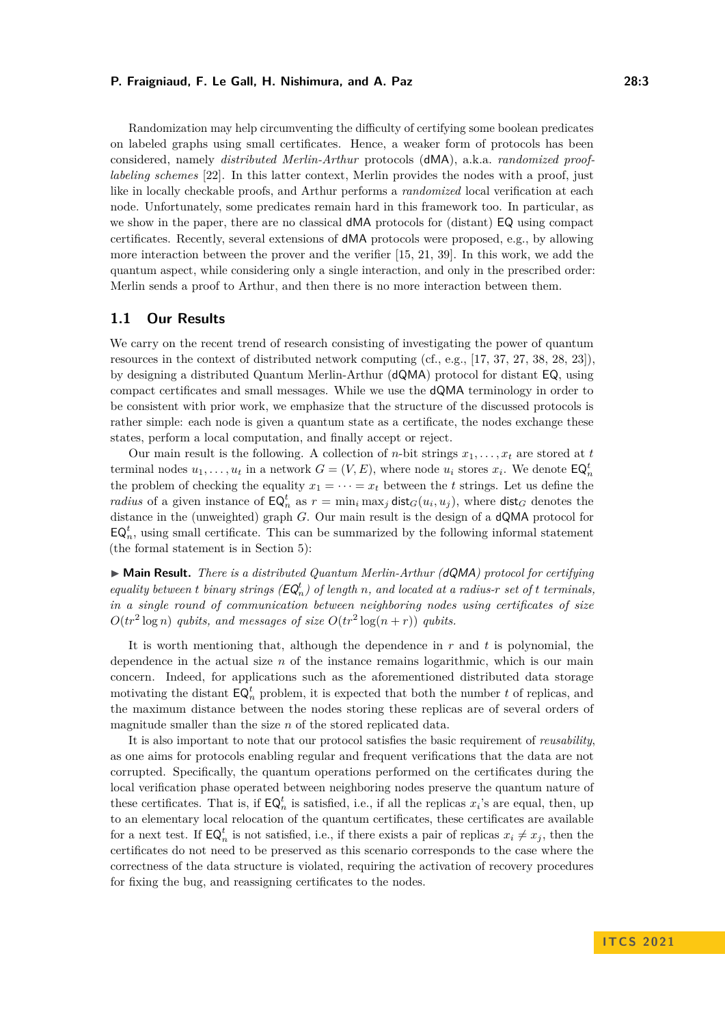Randomization may help circumventing the difficulty of certifying some boolean predicates on labeled graphs using small certificates. Hence, a weaker form of protocols has been considered, namely *distributed Merlin-Arthur* protocols (dMA), a.k.a. *randomized prooflabeling schemes* [\[22\]](#page-17-1). In this latter context, Merlin provides the nodes with a proof, just like in locally checkable proofs, and Arthur performs a *randomized* local verification at each node. Unfortunately, some predicates remain hard in this framework too. In particular, as we show in the paper, there are no classical dMA protocols for (distant) EQ using compact certificates. Recently, several extensions of dMA protocols were proposed, e.g., by allowing more interaction between the prover and the verifier [\[15,](#page-17-2) [21,](#page-17-3) [39\]](#page-18-3). In this work, we add the quantum aspect, while considering only a single interaction, and only in the prescribed order: Merlin sends a proof to Arthur, and then there is no more interaction between them.

### **1.1 Our Results**

We carry on the recent trend of research consisting of investigating the power of quantum resources in the context of distributed network computing (cf., e.g., [\[17,](#page-17-4) [37,](#page-18-4) [27,](#page-18-5) [38,](#page-18-6) [28,](#page-18-7) [23\]](#page-17-5)), by designing a distributed Quantum Merlin-Arthur (dQMA) protocol for distant EQ, using compact certificates and small messages. While we use the dQMA terminology in order to be consistent with prior work, we emphasize that the structure of the discussed protocols is rather simple: each node is given a quantum state as a certificate, the nodes exchange these states, perform a local computation, and finally accept or reject.

Our main result is the following. A collection of *n*-bit strings  $x_1, \ldots, x_t$  are stored at *t* terminal nodes  $u_1, \ldots, u_t$  in a network  $G = (V, E)$ , where node  $u_i$  stores  $x_i$ . We denote  $\mathsf{EQ}_n^t$ the problem of checking the equality  $x_1 = \cdots = x_t$  between the *t* strings. Let us define the *radius* of a given instance of  $\mathsf{EQ}_{n}^{t}$  as  $r = \min_{i} \max_{j} \mathsf{dist}_{G}(u_i, u_j)$ , where  $\mathsf{dist}_{G}$  denotes the distance in the (unweighted) graph *G*. Our main result is the design of a dQMA protocol for  $\mathsf{EQ}_n^t$ , using small certificate. This can be summarized by the following informal statement (the formal statement is in Section [5\)](#page-12-0):

► Main Result. *There is a distributed Quantum Merlin-Arthur (dQMA) protocol for certifying equality between t binary strings*  $(EQ_n^t)$  *of length n*, and located at a radius-*r set of t terminals*, *in a single round of communication between neighboring nodes using certificates of size*  $O(tr^2 \log n)$  *qubits, and messages of size*  $O(tr^2 \log (n + r))$  *qubits.* 

It is worth mentioning that, although the dependence in *r* and *t* is polynomial, the dependence in the actual size *n* of the instance remains logarithmic, which is our main concern. Indeed, for applications such as the aforementioned distributed data storage motivating the distant  $\mathsf{EQ}_n^t$  problem, it is expected that both the number  $t$  of replicas, and the maximum distance between the nodes storing these replicas are of several orders of magnitude smaller than the size *n* of the stored replicated data.

It is also important to note that our protocol satisfies the basic requirement of *reusability*, as one aims for protocols enabling regular and frequent verifications that the data are not corrupted. Specifically, the quantum operations performed on the certificates during the local verification phase operated between neighboring nodes preserve the quantum nature of these certificates. That is, if  $EQ_n^t$  is satisfied, i.e., if all the replicas  $x_i$ 's are equal, then, up to an elementary local relocation of the quantum certificates, these certificates are available for a next test. If  $\mathsf{EQ}_n^t$  is not satisfied, i.e., if there exists a pair of replicas  $x_i \neq x_j$ , then the certificates do not need to be preserved as this scenario corresponds to the case where the correctness of the data structure is violated, requiring the activation of recovery procedures for fixing the bug, and reassigning certificates to the nodes.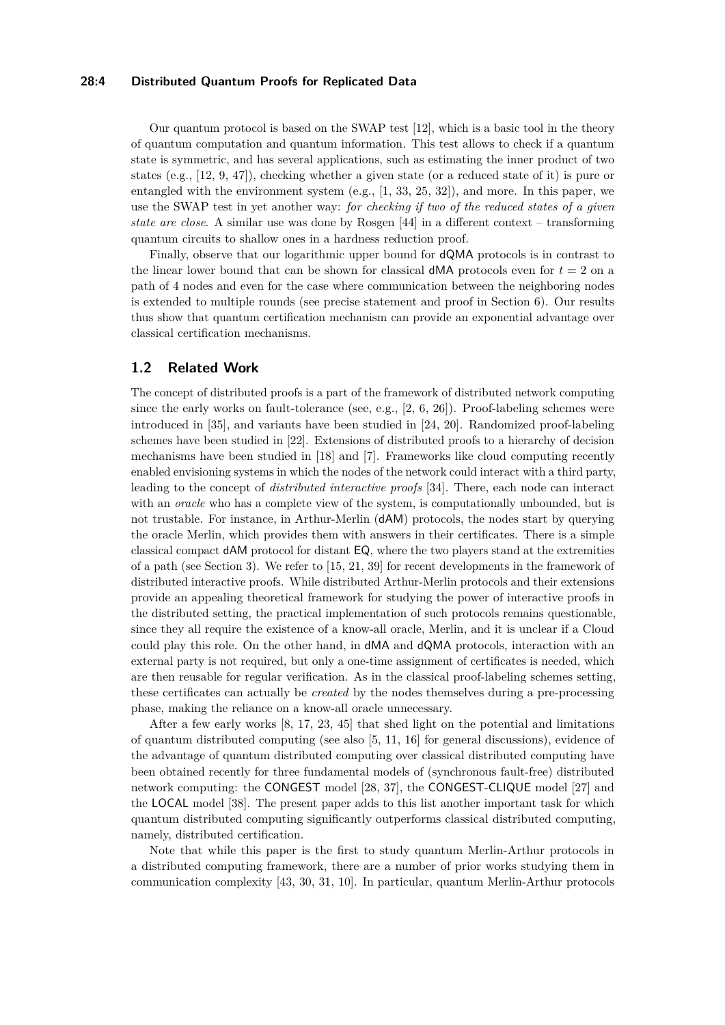### **28:4 Distributed Quantum Proofs for Replicated Data**

Our quantum protocol is based on the SWAP test [\[12\]](#page-17-6), which is a basic tool in the theory of quantum computation and quantum information. This test allows to check if a quantum state is symmetric, and has several applications, such as estimating the inner product of two states (e.g., [\[12,](#page-17-6) [9,](#page-17-7) [47\]](#page-19-2)), checking whether a given state (or a reduced state of it) is pure or entangled with the environment system (e.g., [\[1,](#page-16-1) [33,](#page-18-8) [25,](#page-18-9) [32\]](#page-18-10)), and more. In this paper, we use the SWAP test in yet another way: *for checking if two of the reduced states of a given state are close*. A similar use was done by Rosgen [\[44\]](#page-19-0) in a different context – transforming quantum circuits to shallow ones in a hardness reduction proof.

Finally, observe that our logarithmic upper bound for dQMA protocols is in contrast to the linear lower bound that can be shown for classical  $dMA$  protocols even for  $t = 2$  on a path of 4 nodes and even for the case where communication between the neighboring nodes is extended to multiple rounds (see precise statement and proof in Section [6\)](#page-14-0). Our results thus show that quantum certification mechanism can provide an exponential advantage over classical certification mechanisms.

# **1.2 Related Work**

The concept of distributed proofs is a part of the framework of distributed network computing since the early works on fault-tolerance (see, e.g.,  $[2, 6, 26]$  $[2, 6, 26]$  $[2, 6, 26]$  $[2, 6, 26]$  $[2, 6, 26]$ ). Proof-labeling schemes were introduced in [\[35\]](#page-18-1), and variants have been studied in [\[24,](#page-18-0) [20\]](#page-17-8). Randomized proof-labeling schemes have been studied in [\[22\]](#page-17-1). Extensions of distributed proofs to a hierarchy of decision mechanisms have been studied in [\[18\]](#page-17-9) and [\[7\]](#page-17-10). Frameworks like cloud computing recently enabled envisioning systems in which the nodes of the network could interact with a third party, leading to the concept of *distributed interactive proofs* [\[34\]](#page-18-11). There, each node can interact with an *oracle* who has a complete view of the system, is computationally unbounded, but is not trustable. For instance, in Arthur-Merlin (dAM) protocols, the nodes start by querying the oracle Merlin, which provides them with answers in their certificates. There is a simple classical compact dAM protocol for distant EQ, where the two players stand at the extremities of a path (see Section [3\)](#page-6-0). We refer to [\[15,](#page-17-2) [21,](#page-17-3) [39\]](#page-18-3) for recent developments in the framework of distributed interactive proofs. While distributed Arthur-Merlin protocols and their extensions provide an appealing theoretical framework for studying the power of interactive proofs in the distributed setting, the practical implementation of such protocols remains questionable, since they all require the existence of a know-all oracle, Merlin, and it is unclear if a Cloud could play this role. On the other hand, in dMA and dQMA protocols, interaction with an external party is not required, but only a one-time assignment of certificates is needed, which are then reusable for regular verification. As in the classical proof-labeling schemes setting, these certificates can actually be *created* by the nodes themselves during a pre-processing phase, making the reliance on a know-all oracle unnecessary.

After a few early works [\[8,](#page-17-11) [17,](#page-17-4) [23,](#page-17-5) [45\]](#page-19-3) that shed light on the potential and limitations of quantum distributed computing (see also [\[5,](#page-16-2) [11,](#page-17-12) [16\]](#page-17-13) for general discussions), evidence of the advantage of quantum distributed computing over classical distributed computing have been obtained recently for three fundamental models of (synchronous fault-free) distributed network computing: the CONGEST model [\[28,](#page-18-7) [37\]](#page-18-4), the CONGEST-CLIQUE model [\[27\]](#page-18-5) and the LOCAL model [\[38\]](#page-18-6). The present paper adds to this list another important task for which quantum distributed computing significantly outperforms classical distributed computing, namely, distributed certification.

Note that while this paper is the first to study quantum Merlin-Arthur protocols in a distributed computing framework, there are a number of prior works studying them in communication complexity [\[43,](#page-19-4) [30,](#page-18-12) [31,](#page-18-13) [10\]](#page-17-14). In particular, quantum Merlin-Arthur protocols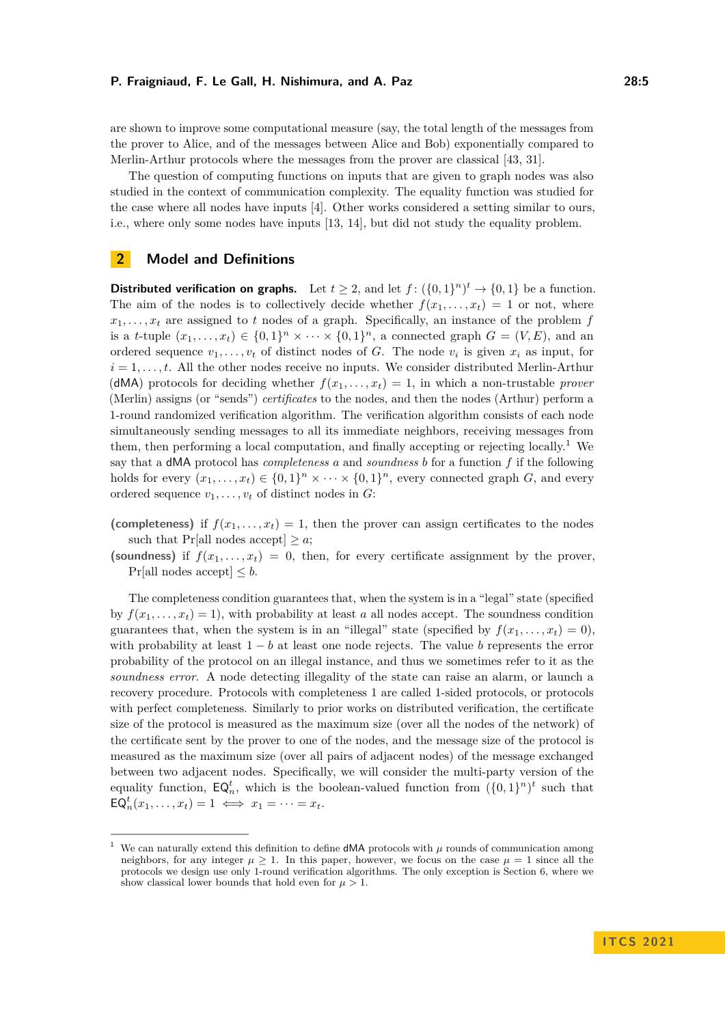are shown to improve some computational measure (say, the total length of the messages from the prover to Alice, and of the messages between Alice and Bob) exponentially compared to Merlin-Arthur protocols where the messages from the prover are classical [\[43,](#page-19-4) [31\]](#page-18-13).

The question of computing functions on inputs that are given to graph nodes was also studied in the context of communication complexity. The equality function was studied for the case where all nodes have inputs [\[4\]](#page-16-3). Other works considered a setting similar to ours, i.e., where only some nodes have inputs [\[13,](#page-17-15) [14\]](#page-17-16), but did not study the equality problem.

# <span id="page-4-1"></span>**2 Model and Definitions**

**Distributed verification on graphs.** Let  $t \geq 2$ , and let  $f: (\{0,1\}^n)^t \rightarrow \{0,1\}$  be a function. The aim of the nodes is to collectively decide whether  $f(x_1, \ldots, x_t) = 1$  or not, where  $x_1, \ldots, x_t$  are assigned to *t* nodes of a graph. Specifically, an instance of the problem *f* is a *t*-tuple  $(x_1, \ldots, x_t) \in \{0,1\}^n \times \cdots \times \{0,1\}^n$ , a connected graph  $G = (V, E)$ , and an ordered sequence  $v_1, \ldots, v_t$  of distinct nodes of *G*. The node  $v_i$  is given  $x_i$  as input, for  $i = 1, \ldots, t$ . All the other nodes receive no inputs. We consider distributed Merlin-Arthur (dMA) protocols for deciding whether  $f(x_1, \ldots, x_t) = 1$ , in which a non-trustable *prover* (Merlin) assigns (or "sends") *certificates* to the nodes, and then the nodes (Arthur) perform a 1-round randomized verification algorithm. The verification algorithm consists of each node simultaneously sending messages to all its immediate neighbors, receiving messages from them, then performing a local computation, and finally accepting or rejecting locally.<sup>[1](#page-4-0)</sup> We say that a dMA protocol has *completeness a* and *soundness b* for a function *f* if the following holds for every  $(x_1, \ldots, x_t) \in \{0,1\}^n \times \cdots \times \{0,1\}^n$ , every connected graph *G*, and every ordered sequence  $v_1, \ldots, v_t$  of distinct nodes in  $G$ :

(completeness) if  $f(x_1, \ldots, x_t) = 1$ , then the prover can assign certificates to the nodes such that Pr[all nodes accept]  $\geq a$ ;

(soundness) if  $f(x_1, \ldots, x_t) = 0$ , then, for every certificate assignment by the prover, Pr[all nodes accept]  $\leq b$ .

The completeness condition guarantees that, when the system is in a "legal" state (specified by  $f(x_1, \ldots, x_t) = 1$ , with probability at least *a* all nodes accept. The soundness condition guarantees that, when the system is in an "illegal" state (specified by  $f(x_1, \ldots, x_t) = 0$ ), with probability at least 1 − *b* at least one node rejects. The value *b* represents the error probability of the protocol on an illegal instance, and thus we sometimes refer to it as the *soundness error*. A node detecting illegality of the state can raise an alarm, or launch a recovery procedure. Protocols with completeness 1 are called 1-sided protocols, or protocols with perfect completeness. Similarly to prior works on distributed verification, the certificate size of the protocol is measured as the maximum size (over all the nodes of the network) of the certificate sent by the prover to one of the nodes, and the message size of the protocol is measured as the maximum size (over all pairs of adjacent nodes) of the message exchanged between two adjacent nodes. Specifically, we will consider the multi-party version of the equality function,  $\mathsf{EQ}_{n}^{t}$ , which is the boolean-valued function from  $({0,1})^{n})^{t}$  such that  $EQ_n^t(x_1,\ldots,x_t) = 1 \iff x_1 = \cdots = x_t.$ 

<span id="page-4-0"></span><sup>1</sup> We can naturally extend this definition to define dMA protocols with *µ* rounds of communication among neighbors, for any integer  $\mu \geq 1$ . In this paper, however, we focus on the case  $\mu = 1$  since all the protocols we design use only 1-round verification algorithms. The only exception is Section [6,](#page-14-0) where we show classical lower bounds that hold even for  $\mu > 1$ .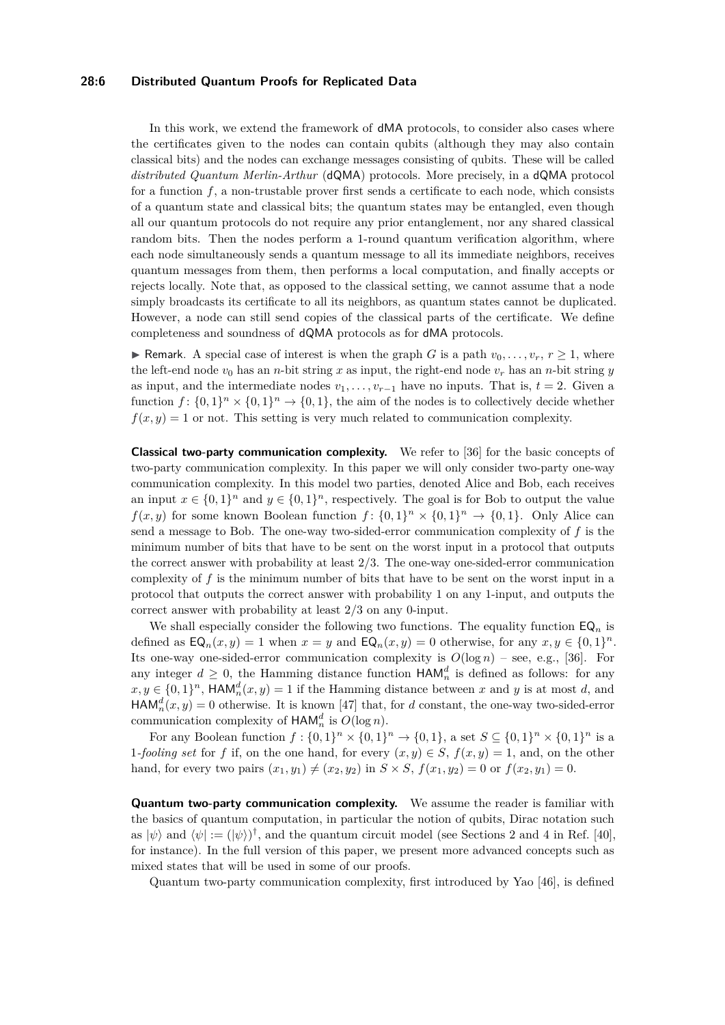### **28:6 Distributed Quantum Proofs for Replicated Data**

In this work, we extend the framework of dMA protocols, to consider also cases where the certificates given to the nodes can contain qubits (although they may also contain classical bits) and the nodes can exchange messages consisting of qubits. These will be called *distributed Quantum Merlin-Arthur* (dQMA) protocols. More precisely, in a dQMA protocol for a function  $f$ , a non-trustable prover first sends a certificate to each node, which consists of a quantum state and classical bits; the quantum states may be entangled, even though all our quantum protocols do not require any prior entanglement, nor any shared classical random bits. Then the nodes perform a 1-round quantum verification algorithm, where each node simultaneously sends a quantum message to all its immediate neighbors, receives quantum messages from them, then performs a local computation, and finally accepts or rejects locally. Note that, as opposed to the classical setting, we cannot assume that a node simply broadcasts its certificate to all its neighbors, as quantum states cannot be duplicated. However, a node can still send copies of the classical parts of the certificate. We define completeness and soundness of dQMA protocols as for dMA protocols.

► Remark. A special case of interest is when the graph *G* is a path  $v_0, \ldots, v_r, r \ge 1$ , where the left-end node  $v_0$  has an *n*-bit string x as input, the right-end node  $v_r$  has an *n*-bit string y as input, and the intermediate nodes  $v_1, \ldots, v_{r-1}$  have no inputs. That is,  $t = 2$ . Given a function  $f: \{0,1\}^n \times \{0,1\}^n \to \{0,1\}$ , the aim of the nodes is to collectively decide whether  $f(x, y) = 1$  or not. This setting is very much related to communication complexity.

**Classical two-party communication complexity.** We refer to [\[36\]](#page-18-14) for the basic concepts of two-party communication complexity. In this paper we will only consider two-party one-way communication complexity. In this model two parties, denoted Alice and Bob, each receives an input  $x \in \{0,1\}^n$  and  $y \in \{0,1\}^n$ , respectively. The goal is for Bob to output the value  $f(x, y)$  for some known Boolean function  $f: \{0, 1\}^n \times \{0, 1\}^n \to \{0, 1\}$ . Only Alice can send a message to Bob. The one-way two-sided-error communication complexity of *f* is the minimum number of bits that have to be sent on the worst input in a protocol that outputs the correct answer with probability at least 2/3. The one-way one-sided-error communication complexity of *f* is the minimum number of bits that have to be sent on the worst input in a protocol that outputs the correct answer with probability 1 on any 1-input, and outputs the correct answer with probability at least 2/3 on any 0-input.

We shall especially consider the following two functions. The equality function  $\mathsf{EQ}_n$  is defined as  $\mathsf{EQ}_n(x,y) = 1$  when  $x = y$  and  $\mathsf{EQ}_n(x,y) = 0$  otherwise, for any  $x, y \in \{0,1\}^n$ . Its one-way one-sided-error communication complexity is  $O(\log n)$  – see, e.g., [\[36\]](#page-18-14). For any integer  $d \geq 0$ , the Hamming distance function  $\mathsf{HAM}_n^d$  is defined as follows: for any  $x, y \in \{0, 1\}^n$ ,  $\mathsf{HAM}_n^d(x, y) = 1$  if the Hamming distance between *x* and *y* is at most *d*, and  $\text{HAM}_n^d(x, y) = 0$  otherwise. It is known [\[47\]](#page-19-2) that, for *d* constant, the one-way two-sided-error communication complexity of  $\text{HAM}_n^d$  is  $O(\log n)$ .

For any Boolean function  $f: \{0,1\}^n \times \{0,1\}^n \to \{0,1\}$ , a set  $S \subseteq \{0,1\}^n \times \{0,1\}^n$  is a 1*-fooling set* for *f* if, on the one hand, for every  $(x, y) \in S$ ,  $f(x, y) = 1$ , and, on the other hand, for every two pairs  $(x_1, y_1) \neq (x_2, y_2)$  in  $S \times S$ ,  $f(x_1, y_2) = 0$  or  $f(x_2, y_1) = 0$ .

**Quantum two-party communication complexity.** We assume the reader is familiar with the basics of quantum computation, in particular the notion of qubits, Dirac notation such as  $|\psi\rangle$  and  $\langle \psi | := (|\psi\rangle)^{\dagger}$ , and the quantum circuit model (see Sections 2 and 4 in Ref. [\[40\]](#page-18-15), for instance). In the full version of this paper, we present more advanced concepts such as mixed states that will be used in some of our proofs.

Quantum two-party communication complexity, first introduced by Yao [\[46\]](#page-19-5), is defined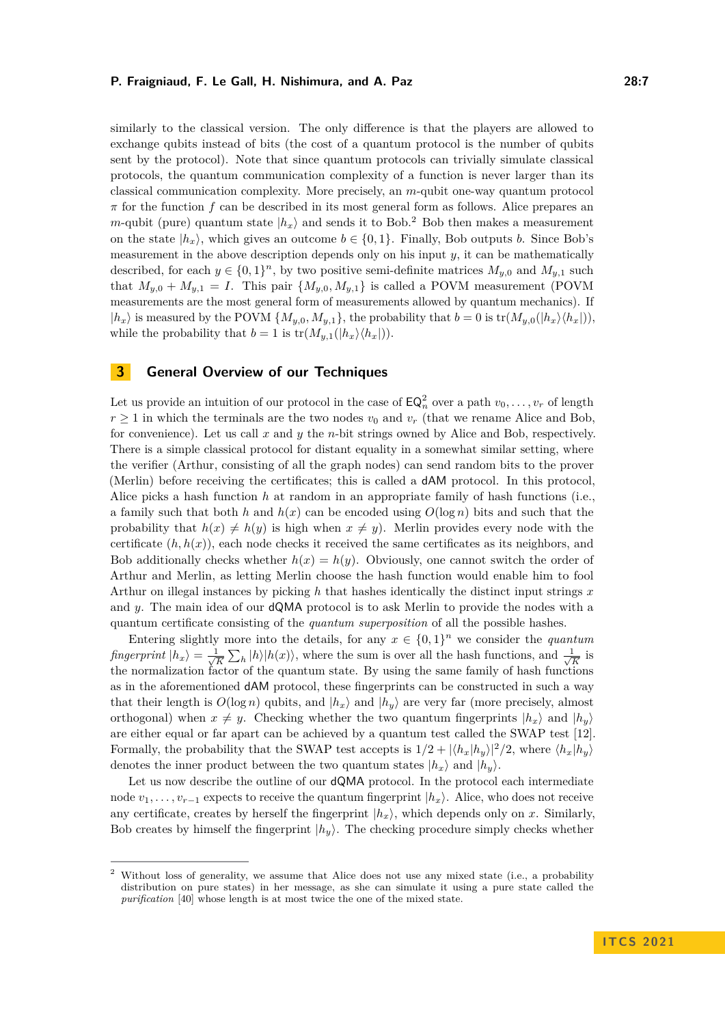similarly to the classical version. The only difference is that the players are allowed to exchange qubits instead of bits (the cost of a quantum protocol is the number of qubits sent by the protocol). Note that since quantum protocols can trivially simulate classical protocols, the quantum communication complexity of a function is never larger than its classical communication complexity. More precisely, an *m*-qubit one-way quantum protocol *π* for the function *f* can be described in its most general form as follows. Alice prepares an *m*-qubit (pure) quantum state  $|h_x\rangle$  and sends it to Bob.<sup>[2](#page-6-1)</sup> Bob then makes a measurement on the state  $|h_x\rangle$ , which gives an outcome  $b \in \{0, 1\}$ . Finally, Bob outputs *b*. Since Bob's measurement in the above description depends only on his input *y*, it can be mathematically described, for each  $y \in \{0,1\}^n$ , by two positive semi-definite matrices  $M_{y,0}$  and  $M_{y,1}$  such that  $M_{y,0} + M_{y,1} = I$ . This pair  $\{M_{y,0}, M_{y,1}\}$  is called a POVM measurement (POVM measurements are the most general form of measurements allowed by quantum mechanics). If  $|h_x\rangle$  is measured by the POVM  $\{M_{y,0}, M_{y,1}\}$ , the probability that  $b = 0$  is  $\text{tr}(M_{y,0}(|h_x\rangle\langle h_x|))$ , while the probability that  $b = 1$  is  $tr(M_{y,1}(|h_x\rangle\langle h_x|)).$ 

# <span id="page-6-0"></span>**3 General Overview of our Techniques**

Let us provide an intuition of our protocol in the case of  $\mathsf{EQ}_n^2$  over a path  $v_0, \ldots, v_r$  of length  $r \geq 1$  in which the terminals are the two nodes  $v_0$  and  $v_r$  (that we rename Alice and Bob, for convenience). Let us call *x* and *y* the *n*-bit strings owned by Alice and Bob, respectively. There is a simple classical protocol for distant equality in a somewhat similar setting, where the verifier (Arthur, consisting of all the graph nodes) can send random bits to the prover (Merlin) before receiving the certificates; this is called a dAM protocol. In this protocol, Alice picks a hash function *h* at random in an appropriate family of hash functions (i.e., a family such that both *h* and  $h(x)$  can be encoded using  $O(\log n)$  bits and such that the probability that  $h(x) \neq h(y)$  is high when  $x \neq y$ ). Merlin provides every node with the certificate  $(h, h(x))$ , each node checks it received the same certificates as its neighbors, and Bob additionally checks whether  $h(x) = h(y)$ . Obviously, one cannot switch the order of Arthur and Merlin, as letting Merlin choose the hash function would enable him to fool Arthur on illegal instances by picking *h* that hashes identically the distinct input strings *x* and *y*. The main idea of our dQMA protocol is to ask Merlin to provide the nodes with a quantum certificate consisting of the *quantum superposition* of all the possible hashes.

Entering slightly more into the details, for any  $x \in \{0,1\}^n$  we consider the *quantum fingerprint*  $|h_x\rangle = \frac{1}{\sqrt{2}}$  $\frac{1}{K} \sum_{h} |h\rangle |h(x)\rangle$ , where the sum is over all the hash functions, and  $\frac{1}{\sqrt{2\pi}}$  $\frac{1}{K}$  is the normalization factor of the quantum state. By using the same family of hash functions as in the aforementioned dAM protocol, these fingerprints can be constructed in such a way that their length is  $O(\log n)$  qubits, and  $|h_x\rangle$  and  $|h_y\rangle$  are very far (more precisely, almost orthogonal) when  $x \neq y$ . Checking whether the two quantum fingerprints  $|h_x\rangle$  and  $|h_y\rangle$ are either equal or far apart can be achieved by a quantum test called the SWAP test [\[12\]](#page-17-6). Formally, the probability that the SWAP test accepts is  $1/2 + |\langle h_x | h_y \rangle|^2/2$ , where  $\langle h_x | h_y \rangle$ denotes the inner product between the two quantum states  $|h_x\rangle$  and  $|h_y\rangle$ .

Let us now describe the outline of our **dQMA** protocol. In the protocol each intermediate node  $v_1, \ldots, v_{r-1}$  expects to receive the quantum fingerprint  $|h_x\rangle$ . Alice, who does not receive any certificate, creates by herself the fingerprint  $|h_x\rangle$ , which depends only on *x*. Similarly, Bob creates by himself the fingerprint  $|h_y\rangle$ . The checking procedure simply checks whether

<span id="page-6-1"></span><sup>2</sup> Without loss of generality, we assume that Alice does not use any mixed state (i.e., a probability distribution on pure states) in her message, as she can simulate it using a pure state called the *purification* [\[40\]](#page-18-15) whose length is at most twice the one of the mixed state.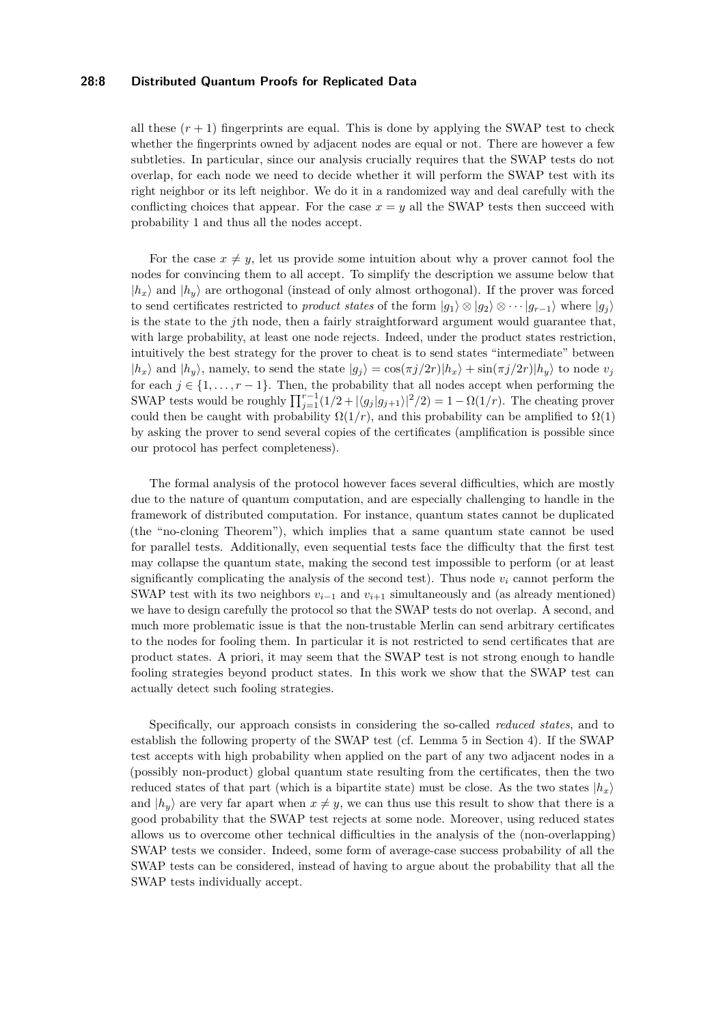### **28:8 Distributed Quantum Proofs for Replicated Data**

all these  $(r + 1)$  fingerprints are equal. This is done by applying the SWAP test to check whether the fingerprints owned by adjacent nodes are equal or not. There are however a few subtleties. In particular, since our analysis crucially requires that the SWAP tests do not overlap, for each node we need to decide whether it will perform the SWAP test with its right neighbor or its left neighbor. We do it in a randomized way and deal carefully with the conflicting choices that appear. For the case  $x = y$  all the SWAP tests then succeed with probability 1 and thus all the nodes accept.

For the case  $x \neq y$ , let us provide some intuition about why a prover cannot fool the nodes for convincing them to all accept. To simplify the description we assume below that  $|h_x\rangle$  and  $|h_y\rangle$  are orthogonal (instead of only almost orthogonal). If the prover was forced to send certificates restricted to *product states* of the form  $|g_1\rangle \otimes |g_2\rangle \otimes \cdots |g_{r-1}\rangle$  where  $|g_i\rangle$ is the state to the *j*th node, then a fairly straightforward argument would guarantee that, with large probability, at least one node rejects. Indeed, under the product states restriction, intuitively the best strategy for the prover to cheat is to send states "intermediate" between  $|h_x\rangle$  and  $|h_y\rangle$ , namely, to send the state  $|g_j\rangle = \cos(\pi j/2r)|h_x\rangle + \sin(\pi j/2r)|h_y\rangle$  to node  $v_j$ for each  $j \in \{1, \ldots, r-1\}$ . Then, the probability that all nodes accept when performing the SWAP tests would be roughly  $\prod_{j=1}^{r-1} (1/2 + |\langle g_j | g_{j+1} \rangle|^2 / 2) = 1 - \Omega(1/r)$ . The cheating prover could then be caught with probability  $\Omega(1/r)$ , and this probability can be amplified to  $\Omega(1)$ by asking the prover to send several copies of the certificates (amplification is possible since our protocol has perfect completeness).

The formal analysis of the protocol however faces several difficulties, which are mostly due to the nature of quantum computation, and are especially challenging to handle in the framework of distributed computation. For instance, quantum states cannot be duplicated (the "no-cloning Theorem"), which implies that a same quantum state cannot be used for parallel tests. Additionally, even sequential tests face the difficulty that the first test may collapse the quantum state, making the second test impossible to perform (or at least significantly complicating the analysis of the second test). Thus node  $v_i$  cannot perform the SWAP test with its two neighbors  $v_{i-1}$  and  $v_{i+1}$  simultaneously and (as already mentioned) we have to design carefully the protocol so that the SWAP tests do not overlap. A second, and much more problematic issue is that the non-trustable Merlin can send arbitrary certificates to the nodes for fooling them. In particular it is not restricted to send certificates that are product states. A priori, it may seem that the SWAP test is not strong enough to handle fooling strategies beyond product states. In this work we show that the SWAP test can actually detect such fooling strategies.

Specifically, our approach consists in considering the so-called *reduced states*, and to establish the following property of the SWAP test (cf. Lemma [5](#page-10-0) in Section [4\)](#page-8-0). If the SWAP test accepts with high probability when applied on the part of any two adjacent nodes in a (possibly non-product) global quantum state resulting from the certificates, then the two reduced states of that part (which is a bipartite state) must be close. As the two states  $|h_x\rangle$ and  $|h_y\rangle$  are very far apart when  $x \neq y$ , we can thus use this result to show that there is a good probability that the SWAP test rejects at some node. Moreover, using reduced states allows us to overcome other technical difficulties in the analysis of the (non-overlapping) SWAP tests we consider. Indeed, some form of average-case success probability of all the SWAP tests can be considered, instead of having to argue about the probability that all the SWAP tests individually accept.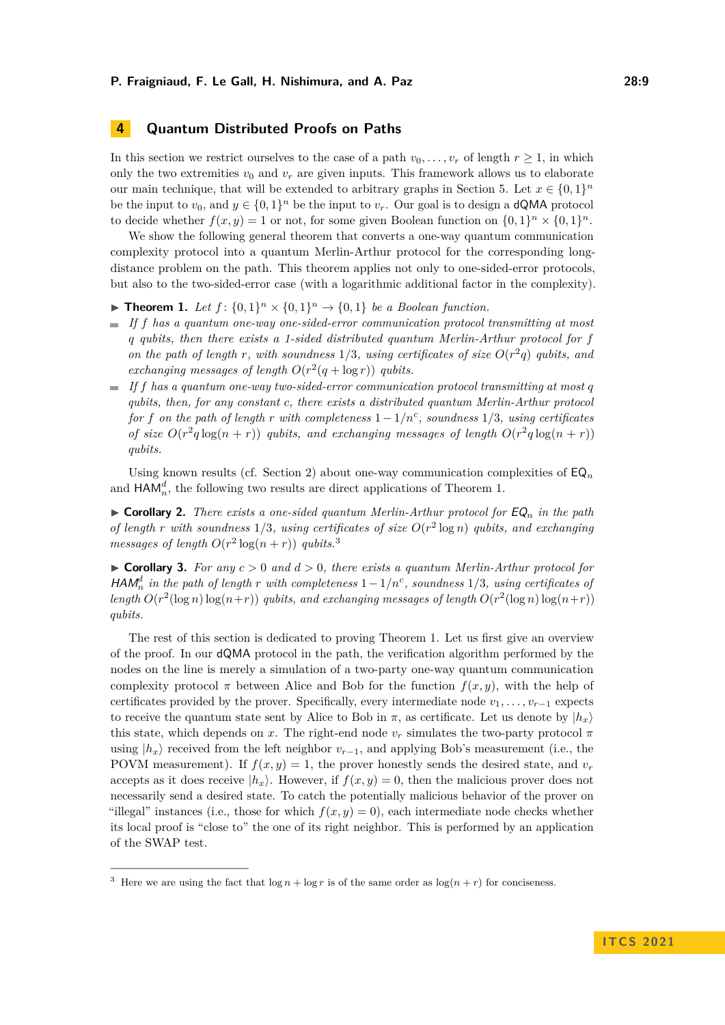# <span id="page-8-0"></span>**4 Quantum Distributed Proofs on Paths**

In this section we restrict ourselves to the case of a path  $v_0, \ldots, v_r$  of length  $r \geq 1$ , in which only the two extremities  $v_0$  and  $v_r$  are given inputs. This framework allows us to elaborate our main technique, that will be extended to arbitrary graphs in Section [5.](#page-12-0) Let  $x \in \{0,1\}^n$ be the input to  $v_0$ , and  $y \in \{0,1\}^n$  be the input to  $v_r$ . Our goal is to design a **dQMA** protocol to decide whether  $f(x, y) = 1$  or not, for some given Boolean function on  $\{0, 1\}^n \times \{0, 1\}^n$ .

We show the following general theorem that converts a one-way quantum communication complexity protocol into a quantum Merlin-Arthur protocol for the corresponding longdistance problem on the path. This theorem applies not only to one-sided-error protocols, but also to the two-sided-error case (with a logarithmic additional factor in the complexity).

- <span id="page-8-1"></span>**Find 1.** *Let*  $f: \{0,1\}^n \times \{0,1\}^n \rightarrow \{0,1\}$  *be a Boolean function.*
- *If f has a quantum one-way one-sided-error communication protocol transmitting at most q qubits, then there exists a 1-sided distributed quantum Merlin-Arthur protocol for f on the path of length r, with soundness*  $1/3$ *, using certificates of size*  $O(r^2q)$  *qubits, and* exchanging messages of length  $O(r^2(q + \log r))$  qubits.
- $\blacksquare$  *If*  $f$  *has a quantum one-way two-sided-error communication protocol transmitting at most q qubits, then, for any constant c, there exists a distributed quantum Merlin-Arthur protocol for f on the path of length r with completeness*  $1 - 1/n^c$ , *soundness*  $1/3$ *, using certificates of size*  $O(r^2q \log(n+r))$  *qubits, and exchanging messages of length*  $O(r^2q \log(n+r))$ *qubits.*

Using known results (cf. Section [2\)](#page-4-1) about one-way communication complexities of  $\mathsf{EQ}_n$ and  $\mathsf{HAM}^d_n$ , the following two results are direct applications of Theorem [1.](#page-8-1)

 $\triangleright$  **Corollary 2.** *There exists a one-sided quantum Merlin-Arthur protocol for*  $\mathsf{EQ}_n$  *in the path of length r* with soundness  $1/3$ , using certificates of size  $O(r^2 \log n)$  qubits, and exchanging *messages of length*  $O(r^2 \log(n+r))$  *qubits.*<sup>[3](#page-8-2)</sup>

 $\triangleright$  **Corollary 3.** For any  $c > 0$  and  $d > 0$ , there exists a quantum Merlin-Arthur protocol for  $HAM_n^d$  *in the path of length r with completeness*  $1-1/n^c$ , *soundness*  $1/3$ *, using certificates of* length  $O(r^2(\log n) \log(n+r))$  *qubits, and exchanging messages of length*  $O(r^2(\log n) \log(n+r))$ *qubits.*

The rest of this section is dedicated to proving Theorem [1.](#page-8-1) Let us first give an overview of the proof. In our dQMA protocol in the path, the verification algorithm performed by the nodes on the line is merely a simulation of a two-party one-way quantum communication complexity protocol  $\pi$  between Alice and Bob for the function  $f(x, y)$ , with the help of certificates provided by the prover. Specifically, every intermediate node  $v_1, \ldots, v_{r-1}$  expects to receive the quantum state sent by Alice to Bob in  $\pi$ , as certificate. Let us denote by  $|h_x\rangle$ this state, which depends on *x*. The right-end node  $v_r$  simulates the two-party protocol  $\pi$ using  $|h_x\rangle$  received from the left neighbor  $v_{r-1}$ , and applying Bob's measurement (i.e., the POVM measurement). If  $f(x, y) = 1$ , the prover honestly sends the desired state, and  $v_r$ accepts as it does receive  $|h_x\rangle$ . However, if  $f(x, y) = 0$ , then the malicious prover does not necessarily send a desired state. To catch the potentially malicious behavior of the prover on "illegal" instances (i.e., those for which  $f(x, y) = 0$ ), each intermediate node checks whether its local proof is "close to" the one of its right neighbor. This is performed by an application of the SWAP test.

<span id="page-8-2"></span><sup>&</sup>lt;sup>3</sup> Here we are using the fact that  $\log n + \log r$  is of the same order as  $\log(n + r)$  for conciseness.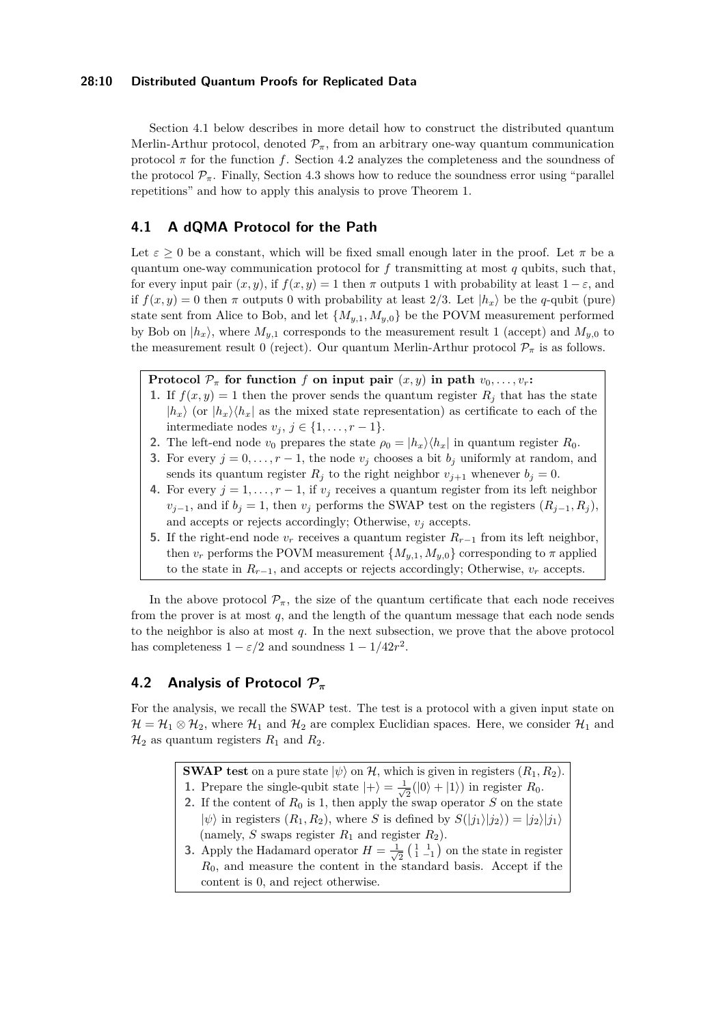### **28:10 Distributed Quantum Proofs for Replicated Data**

Section [4.1](#page-9-0) below describes in more detail how to construct the distributed quantum Merlin-Arthur protocol, denoted  $\mathcal{P}_{\pi}$ , from an arbitrary one-way quantum communication protocol  $\pi$  for the function f. Section [4.2](#page-9-1) analyzes the completeness and the soundness of the protocol  $\mathcal{P}_{\pi}$ . Finally, Section [4.3](#page-11-0) shows how to reduce the soundness error using "parallel repetitions" and how to apply this analysis to prove Theorem [1.](#page-8-1)

# <span id="page-9-0"></span>**4.1 A dQMA Protocol for the Path**

Let  $\varepsilon > 0$  be a constant, which will be fixed small enough later in the proof. Let  $\pi$  be a quantum one-way communication protocol for *f* transmitting at most *q* qubits, such that, for every input pair  $(x, y)$ , if  $f(x, y) = 1$  then  $\pi$  outputs 1 with probability at least  $1 - \varepsilon$ , and if  $f(x, y) = 0$  then  $\pi$  outputs 0 with probability at least 2/3. Let  $|h_x\rangle$  be the *q*-qubit (pure) state sent from Alice to Bob, and let  $\{M_{y,1}, M_{y,0}\}$  be the POVM measurement performed by Bob on  $|h_x\rangle$ , where  $M_{y,1}$  corresponds to the measurement result 1 (accept) and  $M_{y,0}$  to the measurement result 0 (reject). Our quantum Merlin-Arthur protocol  $\mathcal{P}_{\pi}$  is as follows.

**Protocol**  $\mathcal{P}_{\pi}$  for function *f* on input pair  $(x, y)$  in path  $v_0, \ldots, v_r$ :

- **1.** If  $f(x, y) = 1$  then the prover sends the quantum register  $R_j$  that has the state  $|h_x\rangle$  (or  $|h_x\rangle\langle h_x|$  as the mixed state representation) as certificate to each of the intermediate nodes  $v_j$ ,  $j \in \{1, \ldots, r-1\}.$
- **2.** The left-end node  $v_0$  prepares the state  $\rho_0 = |h_x\rangle\langle h_x|$  in quantum register  $R_0$ .
- **3.** For every  $j = 0, \ldots, r 1$ , the node  $v_j$  chooses a bit  $b_j$  uniformly at random, and sends its quantum register  $R_i$  to the right neighbor  $v_{i+1}$  whenever  $b_i = 0$ .
- **4.** For every  $j = 1, \ldots, r 1$ , if  $v_j$  receives a quantum register from its left neighbor  $v_{i-1}$ , and if  $b_i = 1$ , then  $v_i$  performs the SWAP test on the registers  $(R_{i-1}, R_i)$ , and accepts or rejects accordingly; Otherwise,  $v_j$  accepts.
- **5.** If the right-end node  $v_r$  receives a quantum register  $R_{r-1}$  from its left neighbor, then  $v_r$  performs the POVM measurement  $\{M_{y,1}, M_{y,0}\}$  corresponding to  $\pi$  applied to the state in  $R_{r-1}$ , and accepts or rejects accordingly; Otherwise,  $v_r$  accepts.

In the above protocol  $\mathcal{P}_{\pi}$ , the size of the quantum certificate that each node receives from the prover is at most *q*, and the length of the quantum message that each node sends to the neighbor is also at most *q*. In the next subsection, we prove that the above protocol has completeness  $1 - \varepsilon/2$  and soundness  $1 - 1/42r^2$ .

# <span id="page-9-1"></span>**4.2 Analysis of Protocol P***<sup>π</sup>*

For the analysis, we recall the SWAP test. The test is a protocol with a given input state on  $\mathcal{H} = \mathcal{H}_1 \otimes \mathcal{H}_2$ , where  $\mathcal{H}_1$  and  $\mathcal{H}_2$  are complex Euclidian spaces. Here, we consider  $\mathcal{H}_1$  and  $\mathcal{H}_2$  as quantum registers  $R_1$  and  $R_2$ .

**SWAP test** on a pure state  $|\psi\rangle$  on H, which is given in registers  $(R_1, R_2)$ .

- **1.** Prepare the single-qubit state  $|+\rangle = \frac{1}{\sqrt{2}}$  $\frac{1}{2}(|0\rangle + |1\rangle)$  in register  $R_0$ .
- **2.** If the content of  $R_0$  is 1, then apply the swap operator  $S$  on the state  $|\psi\rangle$  in registers  $(R_1, R_2)$ , where *S* is defined by  $S(|j_1\rangle|j_2\rangle) = |j_2\rangle|j_1\rangle$ (namely,  $S$  swaps register  $R_1$  and register  $R_2$ ).
- **3.** Apply the Hadamard operator  $H = \frac{1}{4}$  $\frac{1}{2}$  $\left(\begin{smallmatrix} 1 & 1 \\ 1 & -1 \end{smallmatrix}\right)$  on the state in register *R*0, and measure the content in the standard basis. Accept if the content is 0, and reject otherwise.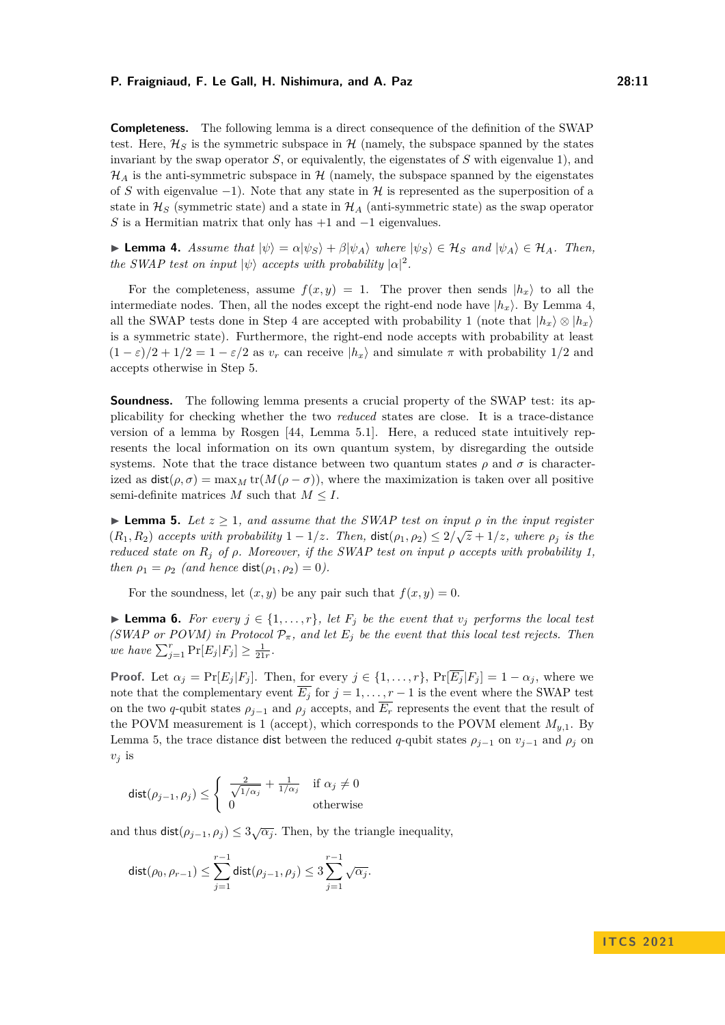**Completeness.** The following lemma is a direct consequence of the definition of the SWAP test. Here,  $\mathcal{H}_S$  is the symmetric subspace in  $\mathcal{H}$  (namely, the subspace spanned by the states invariant by the swap operator *S*, or equivalently, the eigenstates of *S* with eigenvalue 1), and  $\mathcal{H}_A$  is the anti-symmetric subspace in H (namely, the subspace spanned by the eigenstates of *S* with eigenvalue  $-1$ ). Note that any state in H is represented as the superposition of a state in  $\mathcal{H}_S$  (symmetric state) and a state in  $\mathcal{H}_A$  (anti-symmetric state) as the swap operator *S* is a Hermitian matrix that only has +1 and −1 eigenvalues.

<span id="page-10-1"></span>**Example 4.** Assume that  $|\psi\rangle = \alpha |\psi_S\rangle + \beta |\psi_A\rangle$  where  $|\psi_S\rangle \in \mathcal{H}_S$  and  $|\psi_A\rangle \in \mathcal{H}_A$ . Then, *the SWAP test on input*  $|\psi\rangle$  *accepts with probability*  $|\alpha|^2$ .

For the completeness, assume  $f(x, y) = 1$ . The prover then sends  $|h_x\rangle$  to all the intermediate nodes. Then, all the nodes except the right-end node have  $|h_x\rangle$ . By Lemma [4,](#page-10-1) all the SWAP tests done in Step 4 are accepted with probability 1 (note that  $|h_x\rangle \otimes |h_x\rangle$ is a symmetric state). Furthermore, the right-end node accepts with probability at least  $(1 - \varepsilon)/2 + 1/2 = 1 - \varepsilon/2$  as  $v_r$  can receive  $|h_x\rangle$  and simulate  $\pi$  with probability 1/2 and accepts otherwise in Step 5.

**Soundness.** The following lemma presents a crucial property of the SWAP test: its applicability for checking whether the two *reduced* states are close. It is a trace-distance version of a lemma by Rosgen [\[44,](#page-19-0) Lemma 5.1]. Here, a reduced state intuitively represents the local information on its own quantum system, by disregarding the outside systems. Note that the trace distance between two quantum states  $\rho$  and  $\sigma$  is characterized as  $dist(\rho, \sigma) = \max_M tr(M(\rho - \sigma))$ , where the maximization is taken over all positive semi-definite matrices  $M$  such that  $M \leq I$ .

<span id="page-10-0"></span>**► Lemma 5.** Let  $z \ge 1$ , and assume that the SWAP test on input  $\rho$  in the input register  $(R_1, R_2)$  *accepts with probability*  $1 - 1/z$ *. Then,*  $dist(\rho_1, \rho_2) \leq 2/\sqrt{z} + 1/z$ *, where*  $\rho_j$  *is the reduced state on R<sup>j</sup> of ρ. Moreover, if the SWAP test on input ρ accepts with probability 1, then*  $\rho_1 = \rho_2$  *(and hence* dist $(\rho_1, \rho_2) = 0$ *).* 

For the soundness, let  $(x, y)$  be any pair such that  $f(x, y) = 0$ .

<span id="page-10-2"></span>▶ **Lemma 6.** *For every*  $j \in \{1, \ldots, r\}$ *, let*  $F_j$  *be the event that*  $v_j$  *performs the local test (SWAP or POVM) in Protocol*  $P_{\pi}$ *, and let*  $E_j$  *be the event that this local test rejects. Then we have*  $\sum_{j=1}^{r} \Pr[E_j | F_j] \ge \frac{1}{21r}$ .

**Proof.** Let  $\alpha_j = \Pr[E_j | F_j]$ . Then, for every  $j \in \{1, \ldots, r\}$ ,  $\Pr[\overline{E_j} | F_j] = 1 - \alpha_j$ , where we note that the complementary event  $\overline{E_i}$  for  $j = 1, \ldots, r - 1$  is the event where the SWAP test on the two *q*-qubit states  $\rho_{j-1}$  and  $\rho_j$  accepts, and  $\overline{E_r}$  represents the event that the result of the POVM measurement is 1 (accept), which corresponds to the POVM element  $M_{y,1}$ . By Lemma [5,](#page-10-0) the trace distance dist between the reduced *q*-qubit states  $\rho_{i-1}$  on  $v_{i-1}$  and  $\rho_i$  on  $v_i$  is

$$
\text{dist}(\rho_{j-1},\rho_j)\leq \left\{\begin{array}{cc}\frac{2}{\sqrt{1/\alpha_j}}+\frac{1}{1/\alpha_j}&\text{if }\alpha_j\neq 0\\0&\text{otherwise}\end{array}\right.
$$

and thus  $\text{dist}(\rho_{j-1}, \rho_j) \leq 3\sqrt{\alpha_j}$ . Then, by the triangle inequality,

$$
\mathsf{dist}(\rho_0,\rho_{r-1})\leq \sum_{j=1}^{r-1}\mathsf{dist}(\rho_{j-1},\rho_j)\leq 3\sum_{j=1}^{r-1}\sqrt{\alpha_j}.
$$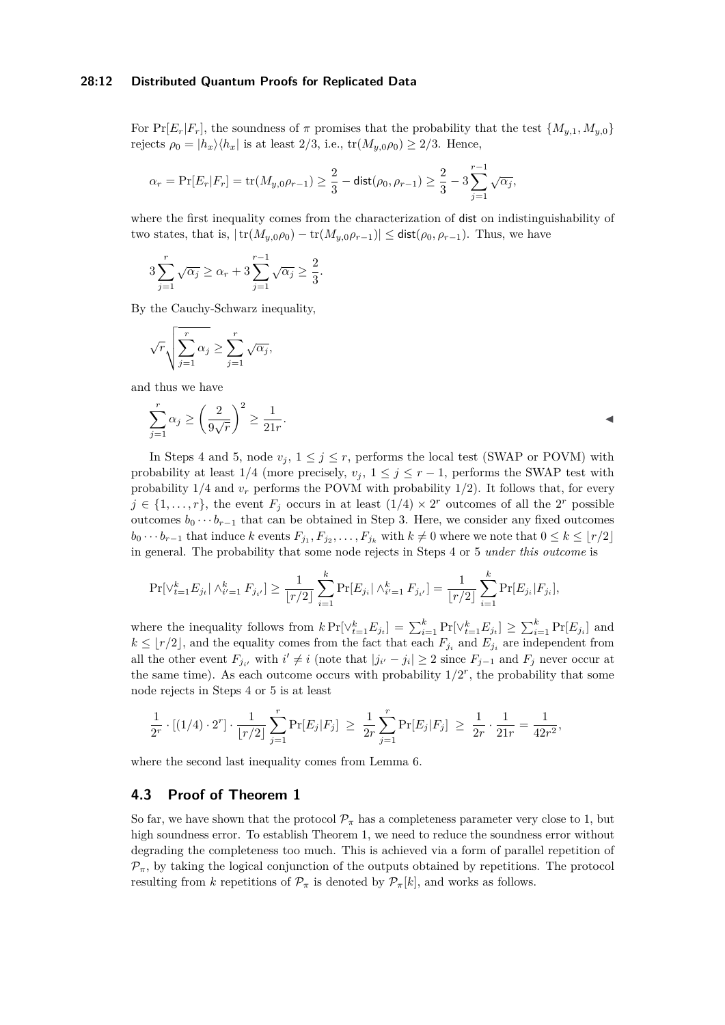#### **28:12 Distributed Quantum Proofs for Replicated Data**

For  $Pr[E_r|F_r]$ , the soundness of  $\pi$  promises that the probability that the test  $\{M_{u,1}, M_{u,0}\}$ rejects  $\rho_0 = |h_x\rangle\langle h_x|$  is at least 2/3, i.e.,  $tr(M_{y,0}\rho_0) \geq 2/3$ . Hence,

$$
\alpha_r = \Pr[E_r | F_r] = \text{tr}(M_{y,0}\rho_{r-1}) \ge \frac{2}{3} - \text{dist}(\rho_0, \rho_{r-1}) \ge \frac{2}{3} - 3\sum_{j=1}^{r-1} \sqrt{\alpha_j},
$$

*.*

where the first inequality comes from the characterization of dist on indistinguishability of two states, that is,  $|\text{tr}(M_{y,0}\rho_0) - \text{tr}(M_{y,0}\rho_{r-1})| \leq \text{dist}(\rho_0, \rho_{r-1})$ . Thus, we have

$$
3\sum_{j=1}^{r} \sqrt{\alpha_j} \ge \alpha_r + 3\sum_{j=1}^{r-1} \sqrt{\alpha_j} \ge \frac{2}{3}
$$

By the Cauchy-Schwarz inequality,

$$
\sqrt{r}\sqrt{\sum_{j=1}^r \alpha_j} \ge \sum_{j=1}^r \sqrt{\alpha_j},
$$

and thus we have

$$
\sum_{j=1}^{r} \alpha_j \ge \left(\frac{2}{9\sqrt{r}}\right)^2 \ge \frac{1}{21r}.
$$

In Steps 4 and 5, node  $v_j$ ,  $1 \leq j \leq r$ , performs the local test (SWAP or POVM) with probability at least  $1/4$  (more precisely,  $v_j$ ,  $1 \leq j \leq r-1$ , performs the SWAP test with probability  $1/4$  and  $v_r$  performs the POVM with probability  $1/2$ ). It follows that, for every  $j \in \{1, \ldots, r\}$ , the event  $F_j$  occurs in at least  $(1/4) \times 2^r$  outcomes of all the  $2^r$  possible outcomes  $b_0 \cdots b_{r-1}$  that can be obtained in Step 3. Here, we consider any fixed outcomes  $b_0 \cdots b_{r-1}$  that induce *k* events  $F_{j_1}, F_{j_2}, \ldots, F_{j_k}$  with  $k \neq 0$  where we note that  $0 \leq k \leq \lfloor r/2 \rfloor$ in general. The probability that some node rejects in Steps 4 or 5 *under this outcome* is

$$
\Pr[\left\{ \left| F_{t=1}^k E_{j_t} \right| \wedge_{i'=1}^k F_{j_{i'}} \right] \ge \frac{1}{\lfloor r/2 \rfloor} \sum_{i=1}^k \Pr[E_{j_i} | \wedge_{i'=1}^k F_{j_{i'}}] = \frac{1}{\lfloor r/2 \rfloor} \sum_{i=1}^k \Pr[E_{j_i} | F_{j_i}],
$$

where the inequality follows from  $k \Pr[\vee_{t=1}^k E_{j_t}] = \sum_{i=1}^k \Pr[\vee_{t=1}^k E_{j_t}] \geq \sum_{i=1}^k \Pr[E_{j_i}]$  and  $k \leq \lfloor r/2 \rfloor$ , and the equality comes from the fact that each  $F_{j_i}$  and  $E_{j_i}$  are independent from all the other event  $F_{j_i}$ , with  $i' \neq i$  (note that  $|j_{i'} - j_i| \geq 2$  since  $F_{j-1}$  and  $F_j$  never occur at the same time). As each outcome occurs with probability  $1/2^r$ , the probability that some node rejects in Steps 4 or 5 is at least

$$
\frac{1}{2^r} \cdot [(1/4) \cdot 2^r] \cdot \frac{1}{\lfloor r/2 \rfloor} \sum_{j=1}^r \Pr[E_j | F_j] \ \geq \ \frac{1}{2r} \sum_{j=1}^r \Pr[E_j | F_j] \ \geq \ \frac{1}{2r} \cdot \frac{1}{21r} = \frac{1}{42r^2},
$$

where the second last inequality comes from Lemma [6.](#page-10-2)

# <span id="page-11-0"></span>**4.3 Proof of Theorem [1](#page-8-1)**

So far, we have shown that the protocol  $\mathcal{P}_{\pi}$  has a completeness parameter very close to 1, but high soundness error. To establish Theorem [1,](#page-8-1) we need to reduce the soundness error without degrading the completeness too much. This is achieved via a form of parallel repetition of  $\mathcal{P}_{\pi}$ , by taking the logical conjunction of the outputs obtained by repetitions. The protocol resulting from *k* repetitions of  $\mathcal{P}_{\pi}$  is denoted by  $\mathcal{P}_{\pi}[k]$ , and works as follows.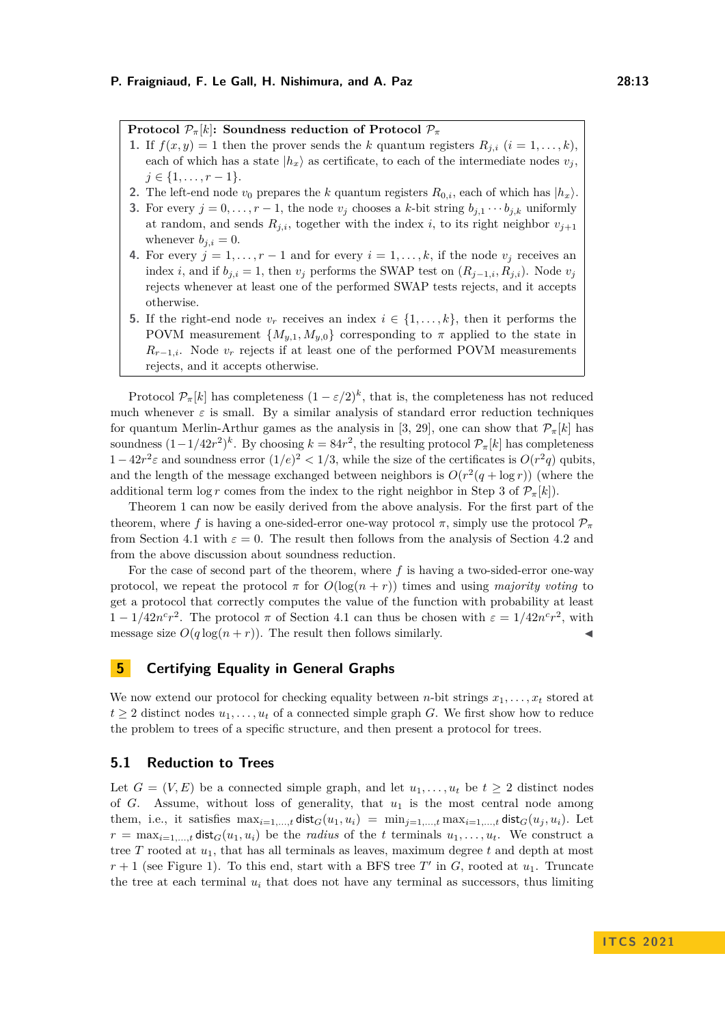**Protocol**  $\mathcal{P}_{\pi}[k]$ : Soundness reduction of Protocol  $\mathcal{P}_{\pi}$ 

- **1.** If  $f(x, y) = 1$  then the prover sends the *k* quantum registers  $R_{i,i}$  ( $i = 1, \ldots, k$ ), each of which has a state  $|h_x\rangle$  as certificate, to each of the intermediate nodes  $v_j$ , *j* ∈ {1, . . . , *r* − 1}.
- **2.** The left-end node  $v_0$  prepares the *k* quantum registers  $R_{0,i}$ , each of which has  $|h_x\rangle$ .
- **3.** For every  $j = 0, \ldots, r 1$ , the node  $v_j$  chooses a *k*-bit string  $b_{j,1} \cdots b_{j,k}$  uniformly at random, and sends  $R_{j,i}$ , together with the index *i*, to its right neighbor  $v_{j+1}$ whenever  $b_{i,i} = 0$ .
- **4.** For every  $j = 1, \ldots, r 1$  and for every  $i = 1, \ldots, k$ , if the node  $v_j$  receives an index *i*, and if  $b_{j,i} = 1$ , then  $v_j$  performs the SWAP test on  $(R_{j-1,i}, R_{j,i})$ . Node  $v_j$ rejects whenever at least one of the performed SWAP tests rejects, and it accepts otherwise.
- **5.** If the right-end node  $v_r$  receives an index  $i \in \{1, \ldots, k\}$ , then it performs the POVM measurement  $\{M_{y,1}, M_{y,0}\}$  corresponding to  $\pi$  applied to the state in  $R_{r-1,i}$ . Node  $v_r$  rejects if at least one of the performed POVM measurements rejects, and it accepts otherwise.

Protocol  $\mathcal{P}_{\pi}[k]$  has completeness  $(1 - \varepsilon/2)^k$ , that is, the completeness has not reduced much whenever  $\varepsilon$  is small. By a similar analysis of standard error reduction techniques for quantum Merlin-Arthur games as the analysis in [\[3,](#page-16-4) [29\]](#page-18-16), one can show that  $\mathcal{P}_{\pi}[k]$  has soundness  $(1-1/42r^2)^k$ . By choosing  $k = 84r^2$ , the resulting protocol  $\mathcal{P}_{\pi}[k]$  has completeness 1 − 42 $r^2$ ε and soundness error  $(1/e)^2 < 1/3$ , while the size of the certificates is  $O(r^2q)$  qubits, and the length of the message exchanged between neighbors is  $O(r^2(q + \log r))$  (where the additional term log *r* comes from the index to the right neighbor in Step 3 of  $\mathcal{P}_{\pi}[k]$ .

Theorem [1](#page-8-1) can now be easily derived from the above analysis. For the first part of the theorem, where f is having a one-sided-error one-way protocol  $\pi$ , simply use the protocol  $\mathcal{P}_{\pi}$ from Section [4.1](#page-9-0) with  $\varepsilon = 0$ . The result then follows from the analysis of Section [4.2](#page-9-1) and from the above discussion about soundness reduction.

For the case of second part of the theorem, where *f* is having a two-sided-error one-way protocol, we repeat the protocol  $\pi$  for  $O(\log(n+r))$  times and using *majority voting* to get a protocol that correctly computes the value of the function with probability at least  $1 - 1/42n^c r^2$ . The protocol  $\pi$  of Section [4.1](#page-9-0) can thus be chosen with  $\varepsilon = 1/42n^c r^2$ , with message size  $O(q \log(n+r))$ . The result then follows similarly.

# <span id="page-12-0"></span>**5 Certifying Equality in General Graphs**

We now extend our protocol for checking equality between *n*-bit strings  $x_1, \ldots, x_t$  stored at  $t \geq 2$  distinct nodes  $u_1, \ldots, u_t$  of a connected simple graph *G*. We first show how to reduce the problem to trees of a specific structure, and then present a protocol for trees.

# **5.1 Reduction to Trees**

Let  $G = (V, E)$  be a connected simple graph, and let  $u_1, \ldots, u_t$  be  $t \geq 2$  distinct nodes of  $G$ . Assume, without loss of generality, that  $u_1$  is the most central node among them, i.e., it satisfies  $\max_{i=1,\dots,t} \text{dist}_G(u_1, u_i) = \min_{j=1,\dots,t} \max_{i=1,\dots,t} \text{dist}_G(u_j, u_i)$ . Let  $r = \max_{i=1,\dots,t} \text{dist}_G(u_1, u_i)$  be the *radius* of the *t* terminals  $u_1, \dots, u_t$ . We construct a tree *T* rooted at  $u_1$ , that has all terminals as leaves, maximum degree  $t$  and depth at most  $r + 1$  (see Figure [1\)](#page-13-0). To this end, start with a BFS tree  $T'$  in  $G$ , rooted at  $u_1$ . Truncate the tree at each terminal  $u_i$  that does not have any terminal as successors, thus limiting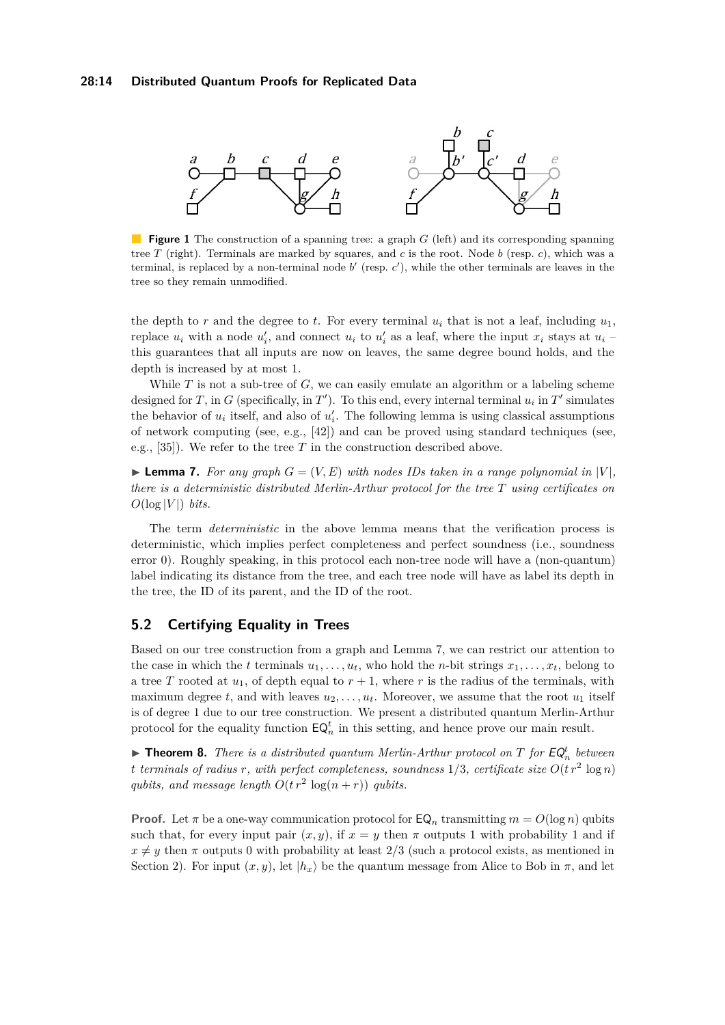<span id="page-13-0"></span>

**Figure 1** The construction of a spanning tree: a graph *G* (left) and its corresponding spanning tree *T* (right). Terminals are marked by squares, and *c* is the root. Node *b* (resp. *c*), which was a terminal, is replaced by a non-terminal node  $b'$  (resp.  $c'$ ), while the other terminals are leaves in the tree so they remain unmodified.

the depth to  $r$  and the degree to  $t$ . For every terminal  $u_i$  that is not a leaf, including  $u_1$ , replace  $u_i$  with a node  $u'_i$ , and connect  $u_i$  to  $u'_i$  as a leaf, where the input  $x_i$  stays at  $u_i$ this guarantees that all inputs are now on leaves, the same degree bound holds, and the depth is increased by at most 1.

While *T* is not a sub-tree of *G*, we can easily emulate an algorithm or a labeling scheme designed for *T*, in *G* (specifically, in *T*<sup> $\prime$ </sup>). To this end, every internal terminal  $u_i$  in *T*<sup> $\prime$ </sup> simulates the behavior of  $u_i$  itself, and also of  $u'_i$ . The following lemma is using classical assumptions of network computing (see, e.g., [\[42\]](#page-18-17)) and can be proved using standard techniques (see, e.g.,  $[35]$ ). We refer to the tree *T* in the construction described above.

<span id="page-13-1"></span>**Example 7.** For any graph  $G = (V, E)$  with nodes IDs taken in a range polynomial in  $|V|$ , *there is a deterministic distributed Merlin-Arthur protocol for the tree T using certificates on*  $O(\log |V|)$  *bits.* 

The term *deterministic* in the above lemma means that the verification process is deterministic, which implies perfect completeness and perfect soundness (i.e., soundness error 0). Roughly speaking, in this protocol each non-tree node will have a (non-quantum) label indicating its distance from the tree, and each tree node will have as label its depth in the tree, the ID of its parent, and the ID of the root.

# **5.2 Certifying Equality in Trees**

Based on our tree construction from a graph and Lemma [7,](#page-13-1) we can restrict our attention to the case in which the *t* terminals  $u_1, \ldots, u_t$ , who hold the *n*-bit strings  $x_1, \ldots, x_t$ , belong to a tree *T* rooted at  $u_1$ , of depth equal to  $r + 1$ , where *r* is the radius of the terminals, with maximum degree  $t$ , and with leaves  $u_2, \ldots, u_t$ . Moreover, we assume that the root  $u_1$  itself is of degree 1 due to our tree construction. We present a distributed quantum Merlin-Arthur protocol for the equality function  $\mathsf{EQ}_n^t$  in this setting, and hence prove our main result.

<span id="page-13-2"></span>**Findment 8.** There is a distributed quantum Merlin-Arthur protocol on  $T$  for  $EQ_{n}^{t}$  between *t terminals of radius r, with perfect completeness, soundness*  $1/3$ *, certificate size*  $O(t r^2 \log n)$ *qubits, and message length*  $O(t r^2 \log(n+r))$  *qubits.* 

**Proof.** Let  $\pi$  be a one-way communication protocol for  $\mathsf{EQ}_n$  transmitting  $m = O(\log n)$  qubits such that, for every input pair  $(x, y)$ , if  $x = y$  then  $\pi$  outputs 1 with probability 1 and if  $x \neq y$  then  $\pi$  outputs 0 with probability at least 2/3 (such a protocol exists, as mentioned in Section [2\)](#page-4-1). For input  $(x, y)$ , let  $|h_x\rangle$  be the quantum message from Alice to Bob in  $\pi$ , and let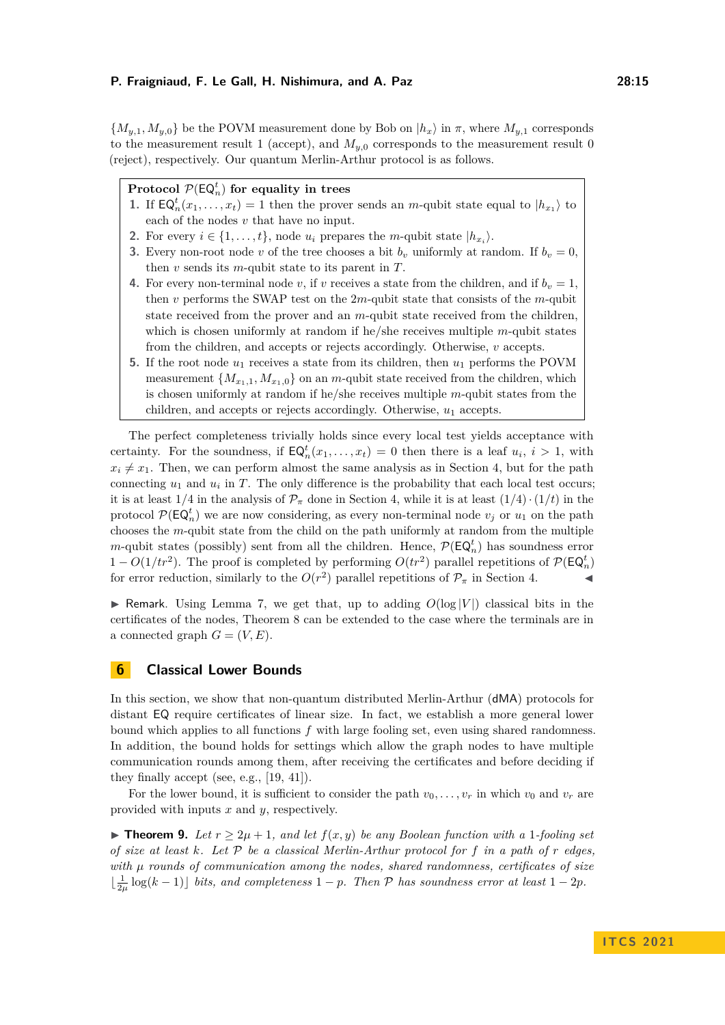${M_{y,1}, M_{y,0}}$  be the POVM measurement done by Bob on  $|h_x\rangle$  in  $\pi$ , where  $M_{y,1}$  corresponds to the measurement result 1 (accept), and  $M_{y,0}$  corresponds to the measurement result 0 (reject), respectively. Our quantum Merlin-Arthur protocol is as follows.

# $\mathsf{Protocol} \ \mathcal{P}(\mathsf{EQ}_n^t) \ \mathsf{for} \ \mathsf{equality} \ \mathsf{in} \ \mathsf{trees}$

- **1.** If  $\mathsf{EQ}_n^t(x_1,\ldots,x_t)=1$  then the prover sends an *m*-qubit state equal to  $|h_{x_1}\rangle$  to each of the nodes *v* that have no input.
- **2.** For every  $i \in \{1, \ldots, t\}$ , node  $u_i$  prepares the *m*-qubit state  $|h_{x_i}\rangle$ .
- **3.** Every non-root node *v* of the tree chooses a bit  $b_v$  uniformly at random. If  $b_v = 0$ , then *v* sends its *m*-qubit state to its parent in *T*.
- **4.** For every non-terminal node *v*, if *v* receives a state from the children, and if  $b_v = 1$ , then *v* performs the SWAP test on the 2*m*-qubit state that consists of the *m*-qubit state received from the prover and an *m*-qubit state received from the children, which is chosen uniformly at random if he/she receives multiple *m*-qubit states from the children, and accepts or rejects accordingly. Otherwise, *v* accepts.
- **5.** If the root node *u*<sup>1</sup> receives a state from its children, then *u*<sup>1</sup> performs the POVM measurement  $\{M_{x_1,1}, M_{x_1,0}\}$  on an *m*-qubit state received from the children, which is chosen uniformly at random if he/she receives multiple *m*-qubit states from the children, and accepts or rejects accordingly. Otherwise,  $u_1$  accepts.

The perfect completeness trivially holds since every local test yields acceptance with certainty. For the soundness, if  $\mathsf{EQ}_n^t(x_1,\ldots,x_t) = 0$  then there is a leaf  $u_i, i > 1$ , with  $x_i \neq x_1$ . Then, we can perform almost the same analysis as in Section [4,](#page-8-0) but for the path connecting  $u_1$  and  $u_i$  in  $T$ . The only difference is the probability that each local test occurs; it is at least  $1/4$  in the analysis of  $\mathcal{P}_{\pi}$  done in Section [4,](#page-8-0) while it is at least  $(1/4) \cdot (1/t)$  in the protocol  $\mathcal{P}(\mathsf{EQ}_n^t)$  we are now considering, as every non-terminal node  $v_j$  or  $u_1$  on the path chooses the *m*-qubit state from the child on the path uniformly at random from the multiple *m*-qubit states (possibly) sent from all the children. Hence,  $P(\mathsf{EQ}_n^t)$  has soundness error  $1 - O(1/tr^2)$ . The proof is completed by performing  $O(tr^2)$  parallel repetitions of  $\mathcal{P}(\mathsf{EQ}_n^t)$ for error reduction, similarly to the  $O(r^2)$  parallel repetitions of  $\mathcal{P}_{\pi}$  in Section [4.](#page-8-0)

**I** Remark. Using Lemma [7,](#page-13-1) we get that, up to adding  $O(\log |V|)$  classical bits in the certificates of the nodes, Theorem [8](#page-13-2) can be extended to the case where the terminals are in a connected graph  $G = (V, E)$ .

# <span id="page-14-0"></span>**6 Classical Lower Bounds**

In this section, we show that non-quantum distributed Merlin-Arthur (dMA) protocols for distant EQ require certificates of linear size. In fact, we establish a more general lower bound which applies to all functions *f* with large fooling set, even using shared randomness. In addition, the bound holds for settings which allow the graph nodes to have multiple communication rounds among them, after receiving the certificates and before deciding if they finally accept (see, e.g., [\[19,](#page-17-17) [41\]](#page-18-18)).

For the lower bound, it is sufficient to consider the path  $v_0, \ldots, v_r$  in which  $v_0$  and  $v_r$  are provided with inputs *x* and *y*, respectively.

<span id="page-14-1"></span>▶ **Theorem 9.** *Let*  $r \geq 2\mu + 1$ *, and let*  $f(x, y)$  *be any Boolean function with a* 1*-fooling set of size at least k. Let* P *be a classical Merlin-Arthur protocol for f in a path of r edges, with µ rounds of communication among the nodes, shared randomness, certificates of size*  $\lfloor \frac{1}{2\mu} \log(k-1) \rfloor$  *bits, and completeness*  $1 - p$ *. Then* P *has soundness error at least*  $1 - 2p$ *.*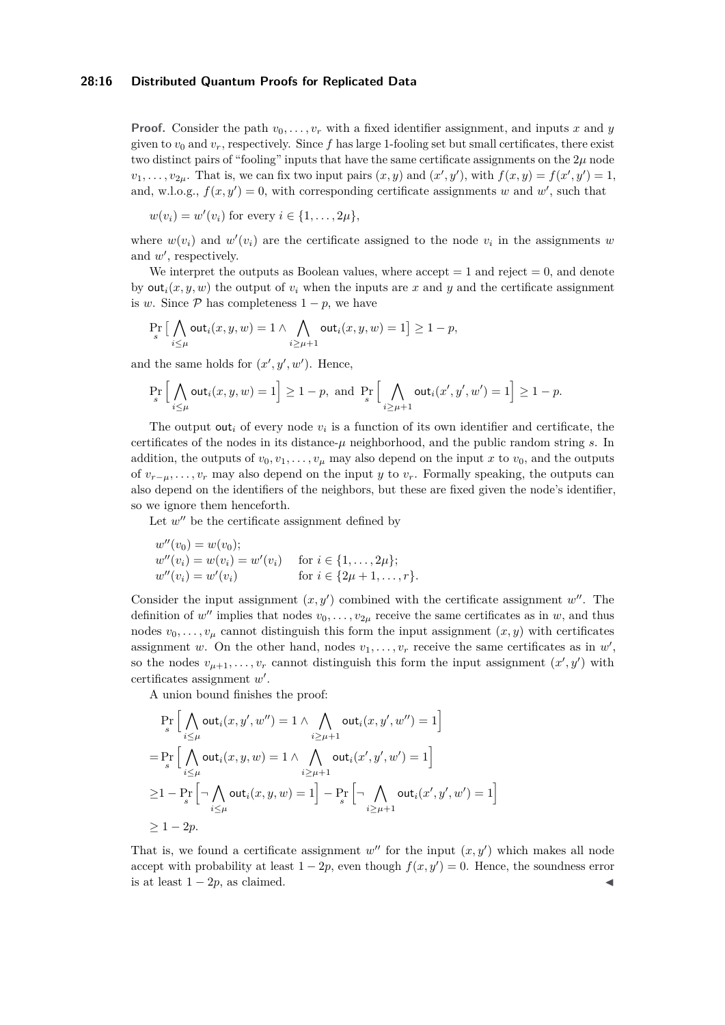### **28:16 Distributed Quantum Proofs for Replicated Data**

**Proof.** Consider the path  $v_0, \ldots, v_r$  with a fixed identifier assignment, and inputs *x* and *y* given to  $v_0$  and  $v_r$ , respectively. Since f has large 1-fooling set but small certificates, there exist two distinct pairs of "fooling" inputs that have the same certificate assignments on the  $2\mu$  node  $v_1, \ldots, v_{2\mu}$ . That is, we can fix two input pairs  $(x, y)$  and  $(x', y')$ , with  $f(x, y) = f(x', y') = 1$ , and, w.l.o.g.,  $f(x, y') = 0$ , with corresponding certificate assignments *w* and *w'*, such that

$$
w(v_i) = w'(v_i) \text{ for every } i \in \{1, \ldots, 2\mu\},
$$

where  $w(v_i)$  and  $w'(v_i)$  are the certificate assigned to the node  $v_i$  in the assignments  $w$ and  $w'$ , respectively.

We interpret the outputs as Boolean values, where  $accept = 1$  and  $reject = 0$ , and denote by  $\text{out}_i(x, y, w)$  the output of  $v_i$  when the inputs are x and y and the certificate assignment is *w*. Since  $\mathcal{P}$  has completeness  $1 - p$ , we have

$$
\Pr_s\big[\bigwedge_{i\leq \mu} \text{out}_i(x,y,w)=1 \wedge \bigwedge_{i\geq \mu+1} \text{out}_i(x,y,w)=1\big] \geq 1-p,
$$

and the same holds for  $(x', y', w')$ . Hence,

$$
\Pr_s\Big[\bigwedge_{i\leq\mu}\verb"out"\,i(x,y,w)=1\Big]\geq 1-p,\;\textrm{and}\;\Pr_s\Big[\bigwedge_{i\geq\mu+1}\verb"out"\,i(x',y',w')=1\Big]\geq 1-p.
$$

The output out<sub>*i*</sub> of every node  $v_i$  is a function of its own identifier and certificate, the certificates of the nodes in its distance- $\mu$  neighborhood, and the public random string  $s$ . In addition, the outputs of  $v_0, v_1, \ldots, v_\mu$  may also depend on the input *x* to  $v_0$ , and the outputs of  $v_{r-\mu}, \ldots, v_r$  may also depend on the input *y* to  $v_r$ . Formally speaking, the outputs can also depend on the identifiers of the neighbors, but these are fixed given the node's identifier, so we ignore them henceforth.

Let  $w''$  be the certificate assignment defined by

$$
w''(v_0) = w(v_0);
$$
  
\n
$$
w''(v_i) = w(v_i) = w'(v_i)
$$
 for  $i \in \{1, ..., 2\mu\};$   
\n
$$
w''(v_i) = w'(v_i)
$$
 for  $i \in \{2\mu + 1, ..., r\}.$ 

Consider the input assignment  $(x, y')$  combined with the certificate assignment  $w''$ . The definition of w'' implies that nodes  $v_0, \ldots, v_{2\mu}$  receive the same certificates as in w, and thus nodes  $v_0, \ldots, v_\mu$  cannot distinguish this form the input assignment  $(x, y)$  with certificates assignment *w*. On the other hand, nodes  $v_1, \ldots, v_r$  receive the same certificates as in  $w'$ , so the nodes  $v_{\mu+1}, \ldots, v_r$  cannot distinguish this form the input assignment  $(x', y')$  with certificates assignment w'.

A union bound finishes the proof:

$$
\Pr_{s} \Big[ \bigwedge_{i \leq \mu} \text{out}_{i}(x, y', w'') = 1 \land \bigwedge_{i \geq \mu+1} \text{out}_{i}(x, y', w'') = 1 \Big]
$$
\n
$$
= \Pr_{s} \Big[ \bigwedge_{i \leq \mu} \text{out}_{i}(x, y, w) = 1 \land \bigwedge_{i \geq \mu+1} \text{out}_{i}(x', y', w') = 1 \Big]
$$
\n
$$
\geq 1 - \Pr_{s} \Big[ \neg \bigwedge_{i \leq \mu} \text{out}_{i}(x, y, w) = 1 \Big] - \Pr_{s} \Big[ \neg \bigwedge_{i \geq \mu+1} \text{out}_{i}(x', y', w') = 1 \Big]
$$
\n
$$
\geq 1 - 2p.
$$

That is, we found a certificate assignment  $w''$  for the input  $(x, y')$  which makes all node accept with probability at least  $1 - 2p$ , even though  $f(x, y') = 0$ . Hence, the soundness error is at least  $1 - 2p$ , as claimed.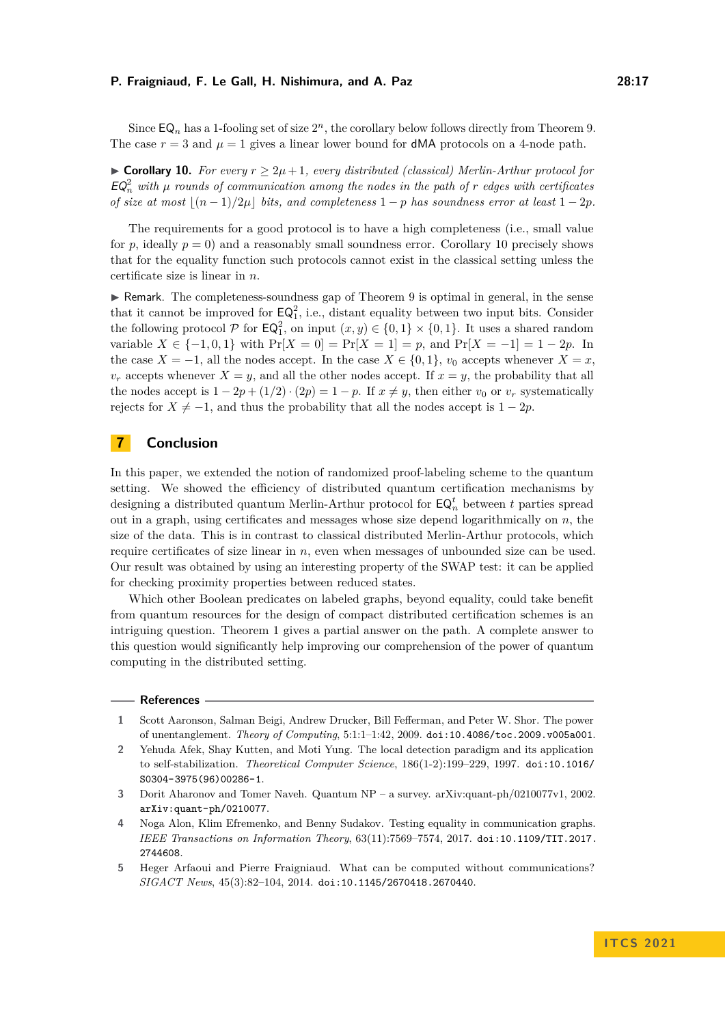Since  $\mathsf{EQ}_n$  has a 1-fooling set of size  $2^n$ , the corollary below follows directly from Theorem [9.](#page-14-1) The case  $r = 3$  and  $\mu = 1$  gives a linear lower bound for **dMA** protocols on a 4-node path.

<span id="page-16-5"></span>▶ **Corollary 10.** *For every*  $r \geq 2\mu + 1$ *, every distributed (classical) Merlin-Arthur protocol for*  $EQ_n^2$  with  $\mu$  rounds of communication among the nodes in the path of  $r$  edges with certificates *of size at most*  $\lfloor (n-1)/2\mu \rfloor$  *bits, and completeness* 1 − *p has soundness error at least* 1 − 2*p.* 

The requirements for a good protocol is to have a high completeness (i.e., small value for  $p$ , ideally  $p = 0$ ) and a reasonably small soundness error. Corollary [10](#page-16-5) precisely shows that for the equality function such protocols cannot exist in the classical setting unless the certificate size is linear in *n*.

 $\triangleright$  Remark. The completeness-soundness gap of Theorem [9](#page-14-1) is optimal in general, in the sense that it cannot be improved for  $\mathsf{EQ}_1^2$ , i.e., distant equality between two input bits. Consider the following protocol  $P$  for  $\mathsf{EQ}_1^2$ , on input  $(x, y) \in \{0, 1\} \times \{0, 1\}$ . It uses a shared random variable  $X \in \{-1, 0, 1\}$  with  $Pr[X = 0] = Pr[X = 1] = p$ , and  $Pr[X = -1] = 1 - 2p$ . In the case  $X = -1$ , all the nodes accept. In the case  $X \in \{0, 1\}$ ,  $v_0$  accepts whenever  $X = x$ ,  $v_r$  accepts whenever  $X = y$ , and all the other nodes accept. If  $x = y$ , the probability that all the nodes accept is  $1 - 2p + (1/2) \cdot (2p) = 1 - p$ . If  $x \neq y$ , then either  $v_0$  or  $v_r$  systematically rejects for  $X \neq -1$ , and thus the probability that all the nodes accept is  $1 - 2p$ .

# **7 Conclusion**

In this paper, we extended the notion of randomized proof-labeling scheme to the quantum setting. We showed the efficiency of distributed quantum certification mechanisms by designing a distributed quantum Merlin-Arthur protocol for  $\mathsf{EQ}_n^t$  between  $t$  parties spread out in a graph, using certificates and messages whose size depend logarithmically on *n*, the size of the data. This is in contrast to classical distributed Merlin-Arthur protocols, which require certificates of size linear in *n*, even when messages of unbounded size can be used. Our result was obtained by using an interesting property of the SWAP test: it can be applied for checking proximity properties between reduced states.

Which other Boolean predicates on labeled graphs, beyond equality, could take benefit from quantum resources for the design of compact distributed certification schemes is an intriguing question. Theorem [1](#page-8-1) gives a partial answer on the path. A complete answer to this question would significantly help improving our comprehension of the power of quantum computing in the distributed setting.

#### **References**

- <span id="page-16-1"></span>**1** Scott Aaronson, Salman Beigi, Andrew Drucker, Bill Fefferman, and Peter W. Shor. The power of unentanglement. *Theory of Computing*, 5:1:1–1:42, 2009. [doi:10.4086/toc.2009.v005a001](https://doi.org/10.4086/toc.2009.v005a001).
- <span id="page-16-0"></span>**2** Yehuda Afek, Shay Kutten, and Moti Yung. The local detection paradigm and its application to self-stabilization. *Theoretical Computer Science*, 186(1-2):199–229, 1997. [doi:10.1016/](https://doi.org/10.1016/S0304-3975(96)00286-1) [S0304-3975\(96\)00286-1](https://doi.org/10.1016/S0304-3975(96)00286-1).
- <span id="page-16-4"></span>**3** Dorit Aharonov and Tomer Naveh. Quantum NP – a survey. arXiv:quant-ph/0210077v1, 2002. [arXiv:quant-ph/0210077](http://arxiv.org/abs/quant-ph/0210077).
- <span id="page-16-3"></span>**4** Noga Alon, Klim Efremenko, and Benny Sudakov. Testing equality in communication graphs. *IEEE Transactions on Information Theory*, 63(11):7569–7574, 2017. [doi:10.1109/TIT.2017.](https://doi.org/10.1109/TIT.2017.2744608) [2744608](https://doi.org/10.1109/TIT.2017.2744608).
- <span id="page-16-2"></span>**5** Heger Arfaoui and Pierre Fraigniaud. What can be computed without communications? *SIGACT News*, 45(3):82–104, 2014. [doi:10.1145/2670418.2670440](https://doi.org/10.1145/2670418.2670440).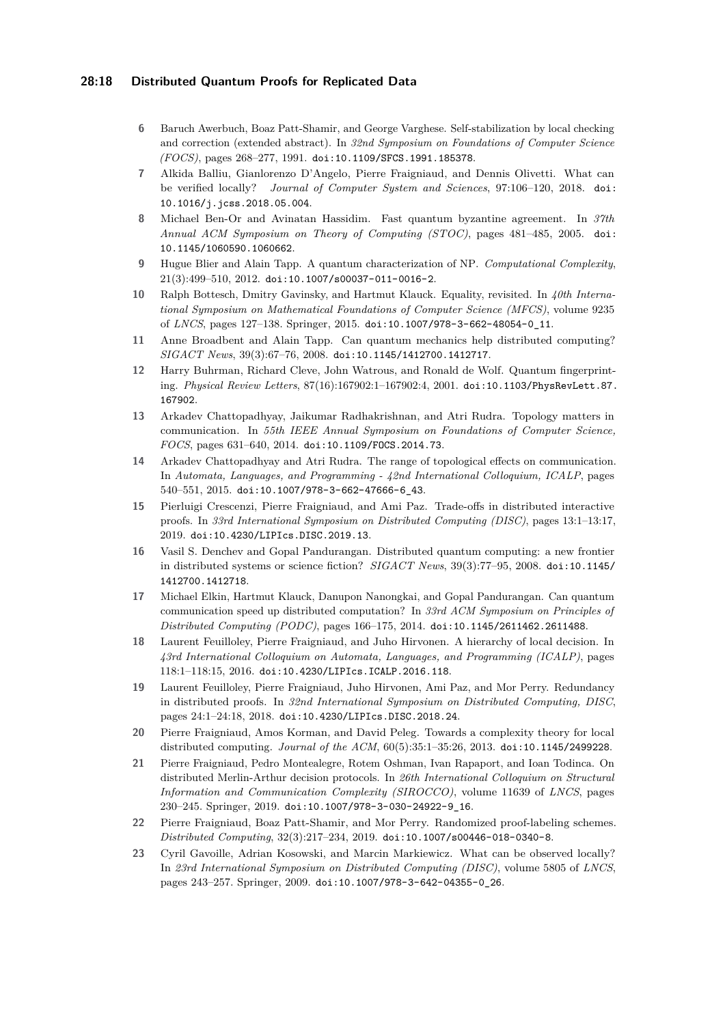### **28:18 Distributed Quantum Proofs for Replicated Data**

- <span id="page-17-0"></span>**6** Baruch Awerbuch, Boaz Patt-Shamir, and George Varghese. Self-stabilization by local checking and correction (extended abstract). In *32nd Symposium on Foundations of Computer Science (FOCS)*, pages 268–277, 1991. [doi:10.1109/SFCS.1991.185378](https://doi.org/10.1109/SFCS.1991.185378).
- <span id="page-17-10"></span>**7** Alkida Balliu, Gianlorenzo D'Angelo, Pierre Fraigniaud, and Dennis Olivetti. What can be verified locally? *Journal of Computer System and Sciences*, 97:106–120, 2018. [doi:](https://doi.org/10.1016/j.jcss.2018.05.004) [10.1016/j.jcss.2018.05.004](https://doi.org/10.1016/j.jcss.2018.05.004).
- <span id="page-17-11"></span>**8** Michael Ben-Or and Avinatan Hassidim. Fast quantum byzantine agreement. In *37th Annual ACM Symposium on Theory of Computing (STOC)*, pages 481–485, 2005. [doi:](https://doi.org/10.1145/1060590.1060662) [10.1145/1060590.1060662](https://doi.org/10.1145/1060590.1060662).
- <span id="page-17-7"></span>**9** Hugue Blier and Alain Tapp. A quantum characterization of NP. *Computational Complexity*, 21(3):499–510, 2012. [doi:10.1007/s00037-011-0016-2](https://doi.org/10.1007/s00037-011-0016-2).
- <span id="page-17-14"></span>**10** Ralph Bottesch, Dmitry Gavinsky, and Hartmut Klauck. Equality, revisited. In *40th International Symposium on Mathematical Foundations of Computer Science (MFCS)*, volume 9235 of *LNCS*, pages 127–138. Springer, 2015. [doi:10.1007/978-3-662-48054-0\\_11](https://doi.org/10.1007/978-3-662-48054-0_11).
- <span id="page-17-12"></span>**11** Anne Broadbent and Alain Tapp. Can quantum mechanics help distributed computing? *SIGACT News*, 39(3):67–76, 2008. [doi:10.1145/1412700.1412717](https://doi.org/10.1145/1412700.1412717).
- <span id="page-17-6"></span>**12** Harry Buhrman, Richard Cleve, John Watrous, and Ronald de Wolf. Quantum fingerprinting. *Physical Review Letters*, 87(16):167902:1–167902:4, 2001. [doi:10.1103/PhysRevLett.87.](https://doi.org/10.1103/PhysRevLett.87.167902) [167902](https://doi.org/10.1103/PhysRevLett.87.167902).
- <span id="page-17-15"></span>**13** Arkadev Chattopadhyay, Jaikumar Radhakrishnan, and Atri Rudra. Topology matters in communication. In *55th IEEE Annual Symposium on Foundations of Computer Science, FOCS*, pages 631–640, 2014. [doi:10.1109/FOCS.2014.73](https://doi.org/10.1109/FOCS.2014.73).
- <span id="page-17-16"></span>**14** Arkadev Chattopadhyay and Atri Rudra. The range of topological effects on communication. In *Automata, Languages, and Programming - 42nd International Colloquium, ICALP*, pages 540–551, 2015. [doi:10.1007/978-3-662-47666-6\\_43](https://doi.org/10.1007/978-3-662-47666-6_43).
- <span id="page-17-2"></span>**15** Pierluigi Crescenzi, Pierre Fraigniaud, and Ami Paz. Trade-offs in distributed interactive proofs. In *33rd International Symposium on Distributed Computing (DISC)*, pages 13:1–13:17, 2019. [doi:10.4230/LIPIcs.DISC.2019.13](https://doi.org/10.4230/LIPIcs.DISC.2019.13).
- <span id="page-17-13"></span>**16** Vasil S. Denchev and Gopal Pandurangan. Distributed quantum computing: a new frontier in distributed systems or science fiction? *SIGACT News*, 39(3):77–95, 2008. [doi:10.1145/](https://doi.org/10.1145/1412700.1412718) [1412700.1412718](https://doi.org/10.1145/1412700.1412718).
- <span id="page-17-4"></span>**17** Michael Elkin, Hartmut Klauck, Danupon Nanongkai, and Gopal Pandurangan. Can quantum communication speed up distributed computation? In *33rd ACM Symposium on Principles of Distributed Computing (PODC)*, pages 166–175, 2014. [doi:10.1145/2611462.2611488](https://doi.org/10.1145/2611462.2611488).
- <span id="page-17-9"></span>**18** Laurent Feuilloley, Pierre Fraigniaud, and Juho Hirvonen. A hierarchy of local decision. In *43rd International Colloquium on Automata, Languages, and Programming (ICALP)*, pages 118:1–118:15, 2016. [doi:10.4230/LIPIcs.ICALP.2016.118](https://doi.org/10.4230/LIPIcs.ICALP.2016.118).
- <span id="page-17-17"></span>**19** Laurent Feuilloley, Pierre Fraigniaud, Juho Hirvonen, Ami Paz, and Mor Perry. Redundancy in distributed proofs. In *32nd International Symposium on Distributed Computing, DISC*, pages 24:1–24:18, 2018. [doi:10.4230/LIPIcs.DISC.2018.24](https://doi.org/10.4230/LIPIcs.DISC.2018.24).
- <span id="page-17-8"></span>**20** Pierre Fraigniaud, Amos Korman, and David Peleg. Towards a complexity theory for local distributed computing. *Journal of the ACM*, 60(5):35:1–35:26, 2013. [doi:10.1145/2499228](https://doi.org/10.1145/2499228).
- <span id="page-17-3"></span>**21** Pierre Fraigniaud, Pedro Montealegre, Rotem Oshman, Ivan Rapaport, and Ioan Todinca. On distributed Merlin-Arthur decision protocols. In *26th International Colloquium on Structural Information and Communication Complexity (SIROCCO)*, volume 11639 of *LNCS*, pages 230–245. Springer, 2019. [doi:10.1007/978-3-030-24922-9\\_16](https://doi.org/10.1007/978-3-030-24922-9_16).
- <span id="page-17-1"></span>**22** Pierre Fraigniaud, Boaz Patt-Shamir, and Mor Perry. Randomized proof-labeling schemes. *Distributed Computing*, 32(3):217–234, 2019. [doi:10.1007/s00446-018-0340-8](https://doi.org/10.1007/s00446-018-0340-8).
- <span id="page-17-5"></span>**23** Cyril Gavoille, Adrian Kosowski, and Marcin Markiewicz. What can be observed locally? In *23rd International Symposium on Distributed Computing (DISC)*, volume 5805 of *LNCS*, pages 243–257. Springer, 2009. [doi:10.1007/978-3-642-04355-0\\_26](https://doi.org/10.1007/978-3-642-04355-0_26).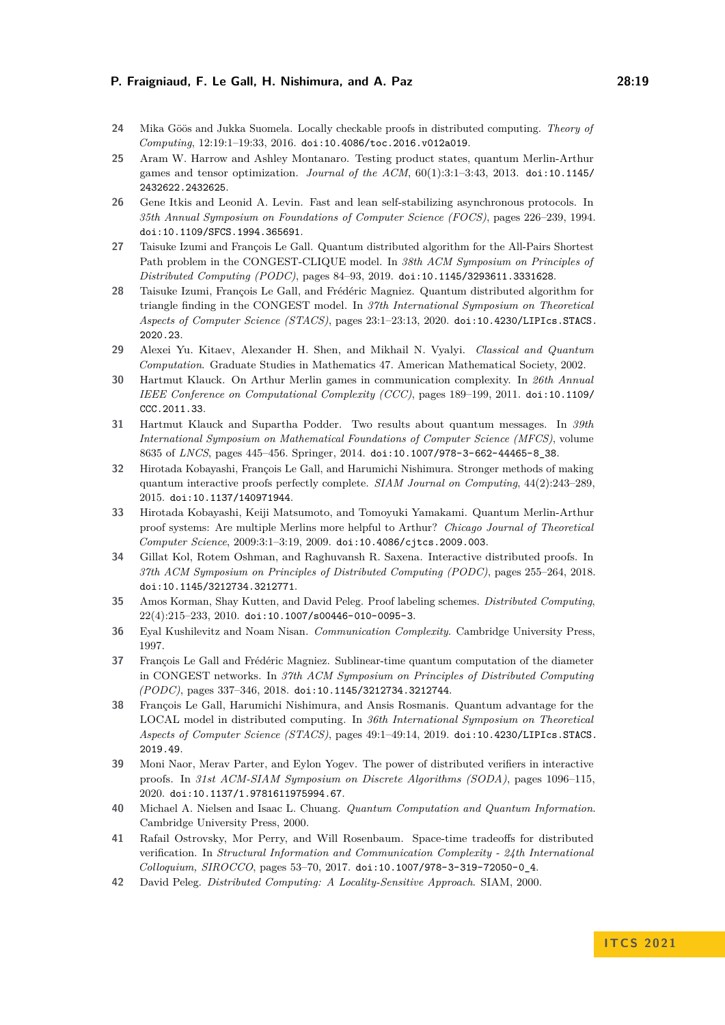- <span id="page-18-0"></span>**24** Mika Göös and Jukka Suomela. Locally checkable proofs in distributed computing. *Theory of Computing*, 12:19:1–19:33, 2016. [doi:10.4086/toc.2016.v012a019](https://doi.org/10.4086/toc.2016.v012a019).
- <span id="page-18-9"></span>**25** Aram W. Harrow and Ashley Montanaro. Testing product states, quantum Merlin-Arthur games and tensor optimization. *Journal of the ACM*, 60(1):3:1–3:43, 2013. [doi:10.1145/](https://doi.org/10.1145/2432622.2432625) [2432622.2432625](https://doi.org/10.1145/2432622.2432625).
- <span id="page-18-2"></span>**26** Gene Itkis and Leonid A. Levin. Fast and lean self-stabilizing asynchronous protocols. In *35th Annual Symposium on Foundations of Computer Science (FOCS)*, pages 226–239, 1994. [doi:10.1109/SFCS.1994.365691](https://doi.org/10.1109/SFCS.1994.365691).
- <span id="page-18-5"></span>**27** Taisuke Izumi and François Le Gall. Quantum distributed algorithm for the All-Pairs Shortest Path problem in the CONGEST-CLIQUE model. In *38th ACM Symposium on Principles of Distributed Computing (PODC)*, pages 84–93, 2019. [doi:10.1145/3293611.3331628](https://doi.org/10.1145/3293611.3331628).
- <span id="page-18-7"></span>**28** Taisuke Izumi, François Le Gall, and Frédéric Magniez. Quantum distributed algorithm for triangle finding in the CONGEST model. In *37th International Symposium on Theoretical Aspects of Computer Science (STACS)*, pages 23:1–23:13, 2020. [doi:10.4230/LIPIcs.STACS.](https://doi.org/10.4230/LIPIcs.STACS.2020.23) [2020.23](https://doi.org/10.4230/LIPIcs.STACS.2020.23).
- <span id="page-18-16"></span>**29** Alexei Yu. Kitaev, Alexander H. Shen, and Mikhail N. Vyalyi. *Classical and Quantum Computation*. Graduate Studies in Mathematics 47. American Mathematical Society, 2002.
- <span id="page-18-12"></span>**30** Hartmut Klauck. On Arthur Merlin games in communication complexity. In *26th Annual IEEE Conference on Computational Complexity (CCC)*, pages 189–199, 2011. [doi:10.1109/](https://doi.org/10.1109/CCC.2011.33) [CCC.2011.33](https://doi.org/10.1109/CCC.2011.33).
- <span id="page-18-13"></span>**31** Hartmut Klauck and Supartha Podder. Two results about quantum messages. In *39th International Symposium on Mathematical Foundations of Computer Science (MFCS)*, volume 8635 of *LNCS*, pages 445–456. Springer, 2014. [doi:10.1007/978-3-662-44465-8\\_38](https://doi.org/10.1007/978-3-662-44465-8_38).
- <span id="page-18-10"></span>**32** Hirotada Kobayashi, François Le Gall, and Harumichi Nishimura. Stronger methods of making quantum interactive proofs perfectly complete. *SIAM Journal on Computing*, 44(2):243–289, 2015. [doi:10.1137/140971944](https://doi.org/10.1137/140971944).
- <span id="page-18-8"></span>**33** Hirotada Kobayashi, Keiji Matsumoto, and Tomoyuki Yamakami. Quantum Merlin-Arthur proof systems: Are multiple Merlins more helpful to Arthur? *Chicago Journal of Theoretical Computer Science*, 2009:3:1–3:19, 2009. [doi:10.4086/cjtcs.2009.003](https://doi.org/10.4086/cjtcs.2009.003).
- <span id="page-18-11"></span>**34** Gillat Kol, Rotem Oshman, and Raghuvansh R. Saxena. Interactive distributed proofs. In *37th ACM Symposium on Principles of Distributed Computing (PODC)*, pages 255–264, 2018. [doi:10.1145/3212734.3212771](https://doi.org/10.1145/3212734.3212771).
- <span id="page-18-1"></span>**35** Amos Korman, Shay Kutten, and David Peleg. Proof labeling schemes. *Distributed Computing*, 22(4):215–233, 2010. [doi:10.1007/s00446-010-0095-3](https://doi.org/10.1007/s00446-010-0095-3).
- <span id="page-18-14"></span>**36** Eyal Kushilevitz and Noam Nisan. *Communication Complexity*. Cambridge University Press, 1997.
- <span id="page-18-4"></span>**37** François Le Gall and Frédéric Magniez. Sublinear-time quantum computation of the diameter in CONGEST networks. In *37th ACM Symposium on Principles of Distributed Computing (PODC)*, pages 337–346, 2018. [doi:10.1145/3212734.3212744](https://doi.org/10.1145/3212734.3212744).
- <span id="page-18-6"></span>**38** François Le Gall, Harumichi Nishimura, and Ansis Rosmanis. Quantum advantage for the LOCAL model in distributed computing. In *36th International Symposium on Theoretical Aspects of Computer Science (STACS)*, pages 49:1–49:14, 2019. [doi:10.4230/LIPIcs.STACS.](https://doi.org/10.4230/LIPIcs.STACS.2019.49) [2019.49](https://doi.org/10.4230/LIPIcs.STACS.2019.49).
- <span id="page-18-3"></span>**39** Moni Naor, Merav Parter, and Eylon Yogev. The power of distributed verifiers in interactive proofs. In *31st ACM-SIAM Symposium on Discrete Algorithms (SODA)*, pages 1096–115, 2020. [doi:10.1137/1.9781611975994.67](https://doi.org/10.1137/1.9781611975994.67).
- <span id="page-18-15"></span>**40** Michael A. Nielsen and Isaac L. Chuang. *Quantum Computation and Quantum Information*. Cambridge University Press, 2000.
- <span id="page-18-18"></span>**41** Rafail Ostrovsky, Mor Perry, and Will Rosenbaum. Space-time tradeoffs for distributed verification. In *Structural Information and Communication Complexity - 24th International Colloquium, SIROCCO*, pages 53–70, 2017. [doi:10.1007/978-3-319-72050-0\\_4](https://doi.org/10.1007/978-3-319-72050-0_4).
- <span id="page-18-17"></span>**42** David Peleg. *Distributed Computing: A Locality-Sensitive Approach*. SIAM, 2000.